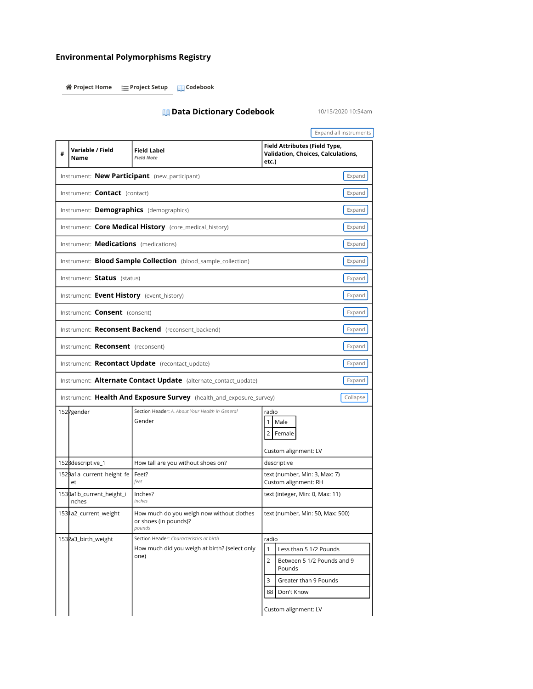## Environmental Polymorphisms Registry

谷 Project Home **Project Setup** Project Setup

## **Data Dictionary Codebook** 10/15/2020 10:54am

 Expand all instruments # Variable / Field Field Label **Validation, Choices, Calculations**, Instrument: Core Medical History (core\_medical\_history) Instrument: **Blood Sample Collection** (blood\_sample\_collection) Instrument: **Alternate Contact Update** (alternate\_contact\_update) Instrument: Health And Exposure Survey (health\_and\_exposure\_survey) 1527gender Section Header: A. About Your Health in General Custom alignment: LV 1528descriptive\_1 How tall are you without shoes on? descriptive 1529a1a\_current\_height\_fe Feet? text (number, Min: 3, Max: 7) et et feet feet feet and the custom alignment: RH 1530a1b\_current\_height\_i Inches? text (integer, Min: 0, Max: 11) 1531a2\_current\_weight How much do you weigh now without clothes or shoes (in pounds)? text (number, Min: 50, Max: 500) 1532a3\_birth\_weight Section Header: Characteristics at birth radio How much did you weigh at birth? (select only 2 Between 5 1/2 Pounds and 9 Greater than 9 Pounds Custom alignment: LV one) 88 Don't Know Expand **Expand** Expand Expand **Expand** Expand **Expand** Expand **Expand** Expand Expand **Expand** Expand **Collapse** Name Instrument: **New Participant** (new\_participant) Instrument: **Contact** (contact) Instrument: Demographics (demographics) Instrument: **Medications** (medications) Instrument: Status (status) Instrument: Event History (event\_history) Instrument: **Consent** (consent) Field Note Field Attributes (Field Type, etc.) Instrument: Reconsent Backend (reconsent\_backend) Instrument: Reconsent (reconsent) Instrument: Recontact Update (recontact\_update) Gender radio Male 2 Female nches inches pounds 1 | Less than 5 1/2 Pounds Pounds 3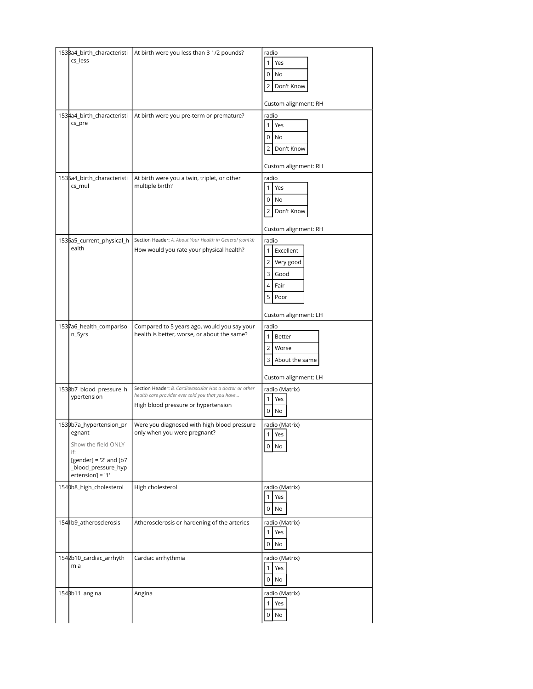| 1538a4_birth_characteristi<br>cs_less                                                                                                  | At birth were you less than 3 1/2 pounds?                                                                                                          | radio<br>$\mathbf{1}$<br>Yes<br>0<br>No                                                                                         |  |
|----------------------------------------------------------------------------------------------------------------------------------------|----------------------------------------------------------------------------------------------------------------------------------------------------|---------------------------------------------------------------------------------------------------------------------------------|--|
|                                                                                                                                        |                                                                                                                                                    | Don't Know<br>2<br>Custom alignment: RH                                                                                         |  |
| 1534a4_birth_characteristi<br>cs_pre                                                                                                   | At birth were you pre-term or premature?                                                                                                           | radio<br>$\mathbf{1}$<br>Yes<br>0<br>No<br>2<br>Don't Know<br>Custom alignment: RH                                              |  |
| 1535a4_birth_characteristi<br>cs_mul                                                                                                   | At birth were you a twin, triplet, or other<br>multiple birth?                                                                                     | radio<br>$\mathbf{1}$<br>Yes<br>0<br>No<br>2<br>Don't Know<br>Custom alignment: RH                                              |  |
| 1536a5_current_physical_h<br>ealth                                                                                                     | Section Header: A. About Your Health in General (cont'd)<br>How would you rate your physical health?                                               | radio<br>$\overline{1}$<br>Excellent<br>Very good<br>$\overline{2}$<br>3<br>Good<br>Fair<br>4<br>5 Poor<br>Custom alignment: LH |  |
| 1537a6_health_compariso<br>n_5yrs                                                                                                      | Compared to 5 years ago, would you say your<br>health is better, worse, or about the same?                                                         | radio<br>$\mathbf{1}$<br>Better<br>$\overline{2}$<br>Worse<br>3<br>About the same<br>Custom alignment: LH                       |  |
| 1538b7_blood_pressure_h<br>ypertension                                                                                                 | Section Header: B. Cardiovascular Has a doctor or other<br>health care provider ever told you that you have<br>High blood pressure or hypertension | radio (Matrix)<br>$\mathbf{1}$<br>Yes<br>$0$ No                                                                                 |  |
| 1539b7a_hypertension_pr<br>egnant<br>Show the field ONLY<br>if:<br>[gender] = $'2'$ and [b7<br>_blood_pressure_hyp<br>ertension] = '1' | Were you diagnosed with high blood pressure<br>only when you were pregnant?                                                                        | radio (Matrix)<br>1 <sup>1</sup><br>Yes<br>$0$ No                                                                               |  |
| 1540b8_high_cholesterol                                                                                                                | High cholesterol                                                                                                                                   | radio (Matrix)<br>Yes<br>$0$ No                                                                                                 |  |
| 154 lb9_atherosclerosis                                                                                                                | Atherosclerosis or hardening of the arteries                                                                                                       | radio (Matrix)<br>$\overline{1}$<br>Yes<br>$0$ No                                                                               |  |
| 1542b10_cardiac_arrhyth<br>mia                                                                                                         | Cardiac arrhythmia                                                                                                                                 | radio (Matrix)<br>$\mathbf{1}$<br>Yes<br>$0$ No                                                                                 |  |
| 154Bb11_angina                                                                                                                         | Angina                                                                                                                                             | radio (Matrix)<br>Yes<br>$\mathbf{1}$<br>$0$ No                                                                                 |  |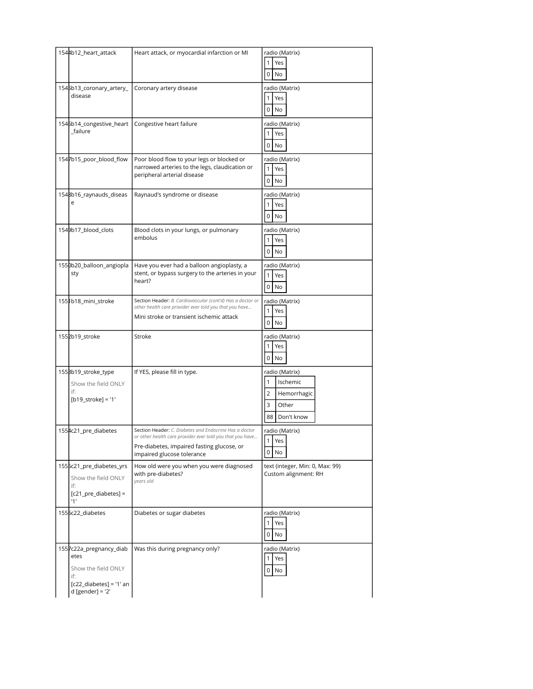| 1544b12_heart_attack                                                                                             | Heart attack, or myocardial infarction or MI                                                                                                                                                    |                                                                                       |
|------------------------------------------------------------------------------------------------------------------|-------------------------------------------------------------------------------------------------------------------------------------------------------------------------------------------------|---------------------------------------------------------------------------------------|
|                                                                                                                  |                                                                                                                                                                                                 | radio (Matrix)<br>Yes<br>1<br>0<br>No                                                 |
| 1545b13_coronary_artery_<br>disease                                                                              | Coronary artery disease                                                                                                                                                                         | radio (Matrix)<br>Yes<br>1<br>0<br>No                                                 |
| 1546b14_congestive_heart<br>_failure                                                                             | Congestive heart failure                                                                                                                                                                        | radio (Matrix)<br>Yes<br>1<br>$0$ No                                                  |
| 1547b15_poor_blood_flow                                                                                          | Poor blood flow to your legs or blocked or<br>narrowed arteries to the legs, claudication or<br>peripheral arterial disease                                                                     | radio (Matrix)<br>$\mathbf{1}$<br>Yes<br>0<br>No                                      |
| 1548b16_raynauds_diseas<br>е                                                                                     | Raynaud's syndrome or disease                                                                                                                                                                   | radio (Matrix)<br>Yes<br>1<br>No<br>0                                                 |
| 1549b17_blood_clots                                                                                              | Blood clots in your lungs, or pulmonary<br>embolus                                                                                                                                              | radio (Matrix)<br>$\mathbf{1}$<br>Yes<br>$\overline{0}$<br>No                         |
| 1550b20_balloon_angiopla<br>sty                                                                                  | Have you ever had a balloon angioplasty, a<br>stent, or bypass surgery to the arteries in your<br>heart?                                                                                        | radio (Matrix)<br>$\mathbf{1}$<br>Yes<br>$\mathbf 0$<br>No                            |
| 1551b18_mini_stroke                                                                                              | Section Header: B. Cardiovascular (cont'd) Has a doctor or<br>other health care provider ever told you that you have<br>Mini stroke or transient ischemic attack                                | radio (Matrix)<br>1<br>Yes<br>$0$ No                                                  |
| 1552b19_stroke                                                                                                   | Stroke                                                                                                                                                                                          | radio (Matrix)<br>Yes<br>1<br>0<br>No                                                 |
| 155Bb19_stroke_type<br>Show the field ONLY<br>if:<br>$[b19_ \text{stroke}] = '1'$                                | If YES, please fill in type.                                                                                                                                                                    | radio (Matrix)<br>1<br>Ischemic<br>2<br>Hemorrhagic<br>3<br>Other<br>88<br>Don't know |
| 1554c21_pre_diabetes                                                                                             | Section Header: C. Diabetes and Endocrine Has a doctor<br>or other health care provider ever told you that you have<br>Pre-diabetes, impaired fasting glucose, or<br>impaired glucose tolerance | radio (Matrix)<br>1<br>Yes<br>0<br>No                                                 |
| 1555c21_pre_diabetes_yrs<br>Show the field ONLY<br>if:<br>$[c21_pre\_diabetes] =$<br>11'                         | How old were you when you were diagnosed<br>with pre-diabetes?<br>years old                                                                                                                     | text (integer, Min: 0, Max: 99)<br>Custom alignment: RH                               |
| 1556c22_diabetes                                                                                                 | Diabetes or sugar diabetes                                                                                                                                                                      | radio (Matrix)<br>Yes<br>No<br>$\overline{0}$                                         |
| 1557c22a_pregnancy_diab<br>etes<br>Show the field ONLY<br>if:<br>$[c22_diabetes] = '1' an$<br>$d$ [gender] = '2' | Was this during pregnancy only?                                                                                                                                                                 | radio (Matrix)<br>$\mathbf{1}$<br>Yes<br>0 No                                         |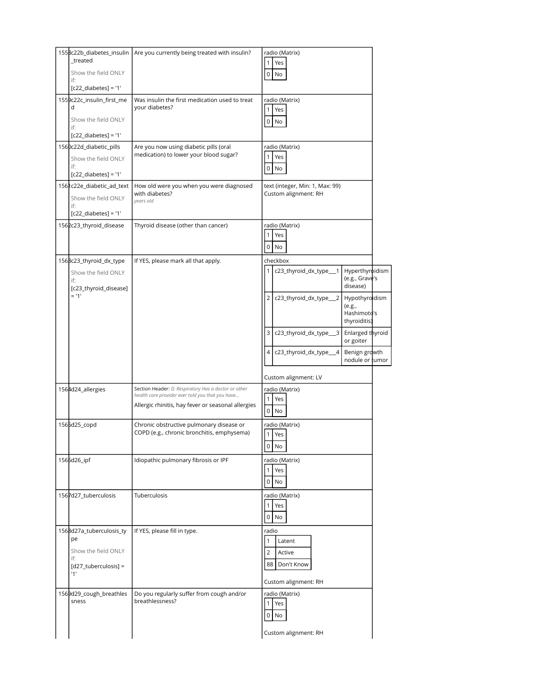| _treated<br>Show the field ONLY<br>if:<br>$[c22_diabetes] = '1'$                            | 1558c22b_diabetes_insulin   Are you currently being treated with insulin?                                                                                      | radio (Matrix)<br>1 <sup>1</sup><br>Yes<br>0 No                                                                                                               |  |
|---------------------------------------------------------------------------------------------|----------------------------------------------------------------------------------------------------------------------------------------------------------------|---------------------------------------------------------------------------------------------------------------------------------------------------------------|--|
| 1559c22c_insulin_first_me<br>d<br>Show the field ONLY<br>if:<br>$[c22_diabetes] = '1'$      | Was insulin the first medication used to treat<br>your diabetes?                                                                                               | radio (Matrix)<br>1<br>Yes<br>0 No                                                                                                                            |  |
| 1560c22d_diabetic_pills<br>Show the field ONLY<br>if:<br>$[c22_diabetes] = '1'$             | Are you now using diabetic pills (oral<br>medication) to lower your blood sugar?                                                                               | radio (Matrix)<br>1 <sup>1</sup><br>Yes<br>$0$ No                                                                                                             |  |
| 1561c22e_diabetic_ad_text<br>Show the field ONLY<br>if:<br>$[c22_diabetes] = '1'$           | How old were you when you were diagnosed<br>with diabetes?<br>years old                                                                                        | text (integer, Min: 1, Max: 99)<br>Custom alignment: RH                                                                                                       |  |
| 1562c23_thyroid_disease                                                                     | Thyroid disease (other than cancer)                                                                                                                            | radio (Matrix)<br>1<br>Yes<br>$\overline{0}$<br>No                                                                                                            |  |
| 156Bc23_thyroid_dx_type<br>Show the field ONLY<br>if:<br>[c23_thyroid_disease]<br>$= 11'$   | If YES, please mark all that apply.                                                                                                                            | checkbox<br>Hyperthyroidism<br>c23_thyroid_dx_type__1<br>1 <sup>1</sup><br>(e.g., Grave's<br>disease)<br>2 c23_thyroid_dx_type__2<br>Hypothyroidism<br>(e.g., |  |
|                                                                                             |                                                                                                                                                                | Hashimoto's<br>thyroiditis)<br>Enlarged thyroid<br>3 I<br>c23_thyroid_dx_type__3<br>or goiter<br>4 c23_thyroid_dx_type__4<br>Benign growth<br>nodule or tumor |  |
|                                                                                             |                                                                                                                                                                | Custom alignment: LV                                                                                                                                          |  |
| 1564d24_allergies                                                                           | Section Header: D. Respiratory Has a doctor or other<br>health care provider ever told you that you have<br>Allergic rhinitis, hay fever or seasonal allergies | radio (Matrix)<br>1<br>Yes<br>0<br>No                                                                                                                         |  |
| 1565d25_copd                                                                                | Chronic obstructive pulmonary disease or<br>COPD (e.g., chronic bronchitis, emphysema)                                                                         | radio (Matrix)<br>1 Yes<br>$0$ No                                                                                                                             |  |
| 1565d26_ipf                                                                                 | Idiopathic pulmonary fibrosis or IPF                                                                                                                           | radio (Matrix)<br>1 <sup>1</sup><br>Yes<br>$0$ No                                                                                                             |  |
| 1567d27_tuberculosis                                                                        | Tuberculosis                                                                                                                                                   | radio (Matrix)<br>1 <sup>1</sup><br>Yes<br>$0$ No                                                                                                             |  |
| 1568d27a_tuberculosis_ty<br>pe<br>Show the field ONLY<br>if:<br>[d27_tuberculosis] =<br>11' | If YES, please fill in type.                                                                                                                                   | radio<br>Latent<br>1<br>$\overline{2}$<br>Active<br>88 Don't Know<br>Custom alignment: RH                                                                     |  |
| 1569d29_cough_breathles<br>sness                                                            | Do you regularly suffer from cough and/or<br>breathlessness?                                                                                                   | radio (Matrix)<br>Yes<br>1 <sup>1</sup><br>$0$ No<br>Custom alignment: RH                                                                                     |  |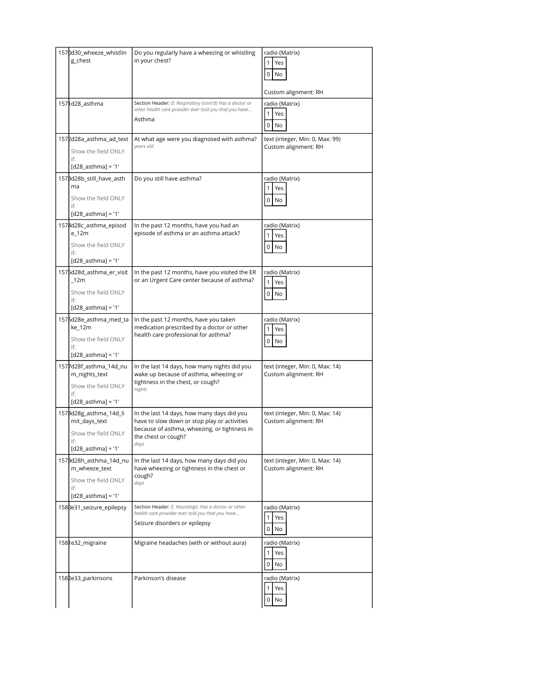| 1570d30_wheeze_whistlin<br>g_chest                                                            | Do you regularly have a wheezing or whistling<br>in your chest?                                                                                                           | radio (Matrix)<br>Yes<br>0<br>No<br>Custom alignment: RH |
|-----------------------------------------------------------------------------------------------|---------------------------------------------------------------------------------------------------------------------------------------------------------------------------|----------------------------------------------------------|
| 1571d28_asthma                                                                                | Section Header: D. Respiratory (cont'd) Has a doctor or<br>other health care provider ever told you that you have<br>Asthma                                               | radio (Matrix)<br>1<br>Yes<br>0<br>No                    |
| 1572d28a_asthma_ad_text<br>Show the field ONLY<br>if:<br>$[d28_asthm] = '1'$                  | At what age were you diagnosed with asthma?<br>vears old                                                                                                                  | text (integer, Min: 0, Max: 99)<br>Custom alignment: RH  |
| 157Bd28b_still_have_asth<br>ma<br>Show the field ONLY<br>if:<br>$[d28_asthma] = '1'$          | Do you still have asthma?                                                                                                                                                 | radio (Matrix)<br>Yes<br>0<br>No                         |
| 1574d28c_asthma_episod<br>$e_{12m}$<br>Show the field ONLY<br>if:<br>$[d28_asthm] = '1'$      | In the past 12 months, have you had an<br>episode of asthma or an asthma attack?                                                                                          | radio (Matrix)<br>1<br>Yes<br>0<br>No                    |
| 1575d28d_asthma_er_visit<br>12m<br>Show the field ONLY<br>if:<br>$[d28_asthma] = '1'$         | In the past 12 months, have you visited the ER<br>or an Urgent Care center because of asthma?                                                                             | radio (Matrix)<br>1<br>Yes<br>0<br>No                    |
| 1576d28e_asthma_med_ta<br>ke_12m<br>Show the field ONLY<br>if:<br>$[d28_$ asthma] = '1'       | In the past 12 months, have you taken<br>medication prescribed by a doctor or other<br>health care professional for asthma?                                               | radio (Matrix)<br>1<br>Yes<br>0<br>No                    |
| 1577d28f_asthma_14d_nu<br>m_nights_text<br>Show the field ONLY<br>if:<br>$[d28_asthma] = '1'$ | In the last 14 days, how many nights did you<br>wake up because of asthma, wheezing or<br>tightness in the chest, or cough?<br>nights                                     | text (integer, Min: 0, Max: 14)<br>Custom alignment: RH  |
| 1578d28g_asthma_14d_li<br>mit_days_text<br>Show the field ONLY<br>if:<br>$[d28_asthma] = '1'$ | In the last 14 days, how many days did you<br>have to slow down or stop play or activities<br>because of asthma, wheezing, or tightness in<br>the chest or cough?<br>days | text (integer, Min: 0, Max: 14)<br>Custom alignment: RH  |
| 1579d28h_asthma_14d_nu<br>m wheeze text<br>Show the field ONLY<br>if:<br>$[d28_asthma] = '1'$ | In the last 14 days, how many days did you<br>have wheezing or tightness in the chest or<br>cough?<br>days                                                                | text (integer, Min: 0, Max: 14)<br>Custom alignment: RH  |
| 1580e31_seizure_epilepsy                                                                      | Section Header: E. Neurologic Has a doctor or other<br>health care provider ever told you that you have<br>Seizure disorders or epilepsy                                  | radio (Matrix)<br>Yes<br>0<br>No                         |
| 1581e32_migraine                                                                              | Migraine headaches (with or without aura)                                                                                                                                 | radio (Matrix)<br>1<br>Yes<br>0<br>No                    |
| 1582e33_parkinsons                                                                            | Parkinson's disease                                                                                                                                                       | radio (Matrix)<br>Yes<br>1<br>0<br>No                    |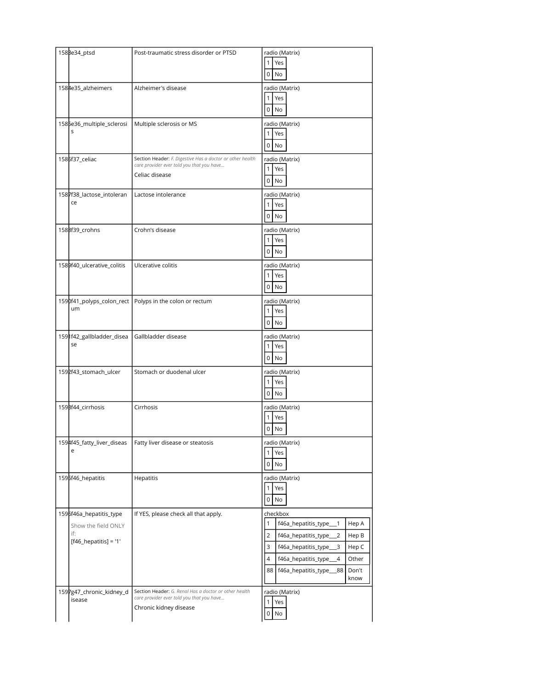| 158Be34_ptsd               | Post-traumatic stress disorder or PTSD                    | radio (Matrix)                                    |
|----------------------------|-----------------------------------------------------------|---------------------------------------------------|
|                            |                                                           | $\mathbf{1}$<br>Yes                               |
|                            |                                                           | $0$ No                                            |
|                            |                                                           |                                                   |
| 1584e35_alzheimers         | Alzheimer's disease                                       | radio (Matrix)                                    |
|                            |                                                           | Yes<br>$\mathbf{1}$                               |
|                            |                                                           | $0$ No                                            |
| 1585e36_multiple_sclerosi  | Multiple sclerosis or MS                                  | radio (Matrix)                                    |
| S                          |                                                           | $\mathbf{1}$                                      |
|                            |                                                           | Yes                                               |
|                            |                                                           | $0$ No                                            |
| 1586f37_celiac             | Section Header: F. Digestive Has a doctor or other health | radio (Matrix)                                    |
|                            | care provider ever told you that you have                 | $\mathbf{1}$<br>Yes                               |
|                            | Celiac disease                                            |                                                   |
|                            |                                                           | $\mathbf 0$<br>No                                 |
| 1587f38_lactose_intoleran  | Lactose intolerance                                       | radio (Matrix)                                    |
| ce                         |                                                           | $\mathbf{1}$<br>Yes                               |
|                            |                                                           |                                                   |
|                            |                                                           | $0$ No                                            |
| 1588f39_crohns             | Crohn's disease                                           | radio (Matrix)                                    |
|                            |                                                           | 1<br>Yes                                          |
|                            |                                                           | $0$ No                                            |
|                            |                                                           |                                                   |
| 1589f40_ulcerative_colitis | Ulcerative colitis                                        | radio (Matrix)                                    |
|                            |                                                           | Yes<br>$\mathbf{1}$                               |
|                            |                                                           | $0$ No                                            |
|                            |                                                           |                                                   |
|                            | 1590f41_polyps_colon_rect Polyps in the colon or rectum   | radio (Matrix)                                    |
| um                         |                                                           | 1 <sup>1</sup><br>Yes                             |
|                            |                                                           | $0$ No                                            |
|                            |                                                           |                                                   |
| 1591f42_gallbladder_disea  | Gallbladder disease                                       | radio (Matrix)                                    |
| se                         |                                                           | $\mathbf{1}$<br>Yes                               |
|                            |                                                           | $\overline{0}$<br>No                              |
|                            |                                                           |                                                   |
| 1592f43_stomach_ulcer      | Stomach or duodenal ulcer                                 | radio (Matrix)                                    |
|                            |                                                           | $\mathbf{1}$<br>Yes                               |
|                            |                                                           | $0$ No                                            |
| 1598f44_cirrhosis          | Cirrhosis                                                 | radio (Matrix)                                    |
|                            |                                                           | $\mathbf{1}$<br>Yes                               |
|                            |                                                           |                                                   |
|                            |                                                           | 0<br>No                                           |
| 1594f45_fatty_liver_diseas | Fatty liver disease or steatosis                          | radio (Matrix)                                    |
| e                          |                                                           | $\mathbf{1}$<br>Yes                               |
|                            |                                                           |                                                   |
|                            |                                                           | $\overline{0}$<br>No                              |
| 1595f46_hepatitis          | Hepatitis                                                 | radio (Matrix)                                    |
|                            |                                                           | Yes<br>1                                          |
|                            |                                                           | 0<br>No                                           |
|                            |                                                           |                                                   |
| 1596f46a_hepatitis_type    | If YES, please check all that apply.                      | checkbox                                          |
| Show the field ONLY        |                                                           | 1<br>Hep A<br>f46a_hepatitis_type___1             |
| if:                        |                                                           | $\overline{2}$<br>Hep B<br>f46a_hepatitis_type__2 |
| $[$ f46_hepatitis] = '1'   |                                                           | 3<br>Hep C                                        |
|                            |                                                           | f46a_hepatitis_type___3                           |
|                            |                                                           | 4<br>Other<br>f46a_hepatitis_type_<br>4           |
|                            |                                                           | 88<br>f46a_hepatitis_type__88<br>Don't            |
|                            |                                                           | know                                              |
| 1597g47_chronic_kidney_d   | Section Header: G. Renal Has a doctor or other health     | radio (Matrix)                                    |
| isease                     | care provider ever told you that you have                 | Yes                                               |
|                            | Chronic kidney disease                                    |                                                   |
|                            |                                                           | No<br>0                                           |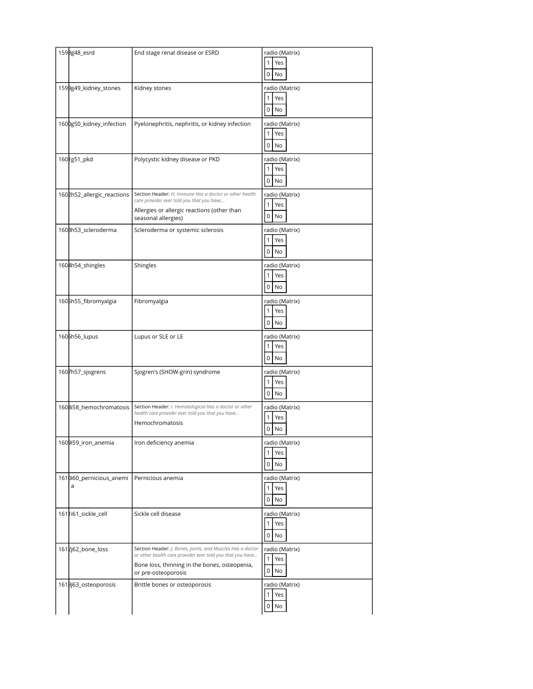| 1598g48_esrd                  | End stage renal disease or ESRD                                                                                                                                                                 | radio (Matrix)<br>Yes<br>1<br>$\mathbf{0}$<br>No              |
|-------------------------------|-------------------------------------------------------------------------------------------------------------------------------------------------------------------------------------------------|---------------------------------------------------------------|
| 1599g49_kidney_stones         | Kidney stones                                                                                                                                                                                   | radio (Matrix)<br>Yes<br>1<br>0<br>No                         |
| 1600g50_kidney_infection      | Pyelonephritis, nephritis, or kidney infection                                                                                                                                                  | radio (Matrix)<br>$\mathbf{1}$<br>Yes<br>$\overline{0}$<br>No |
| 1601g51_pkd                   | Polycystic kidney disease or PKD                                                                                                                                                                | radio (Matrix)<br>$\mathbf{1}$<br>Yes<br>$\mathbf{0}$<br>No   |
| 1602h52_allergic_reactions    | Section Header: H. Immune Has a doctor or other health<br>care provider ever told you that you have<br>Allergies or allergic reactions (other than<br>seasonal allergies)                       | radio (Matrix)<br>$\mathbf{1}$<br>Yes<br>0<br>No              |
| 1603h53_scleroderma           | Scleroderma or systemic sclerosis                                                                                                                                                               | radio (Matrix)<br>Yes<br>$\mathbf{1}$<br>$0$ No               |
| 1604h54_shingles              | Shingles                                                                                                                                                                                        | radio (Matrix)<br>Yes<br>1<br>$\overline{0}$<br>No            |
| 1605h55_fibromyalgia          | Fibromyalgia                                                                                                                                                                                    | radio (Matrix)<br>Yes<br>$\mathbf{1}$<br>$\circ$<br>No        |
| 1605h56_lupus                 | Lupus or SLE or LE                                                                                                                                                                              | radio (Matrix)<br>Yes<br>1                                    |
|                               |                                                                                                                                                                                                 | 0<br>No                                                       |
| 1607h57_sjogrens              | Sjogren's (SHOW-grin) syndrome                                                                                                                                                                  | radio (Matrix)<br>1<br>Yes<br>0<br>No                         |
| 1608i58_hemochromatosis       | Section Header: I. Hematological Has a doctor or other<br>health care provider ever told you that you have<br>Hemochromatosis                                                                   | radio (Matrix)<br>$\mathbf{1}$<br>Yes<br>0<br>No              |
| 1609i59_iron_anemia           | Iron deficiency anemia                                                                                                                                                                          | radio (Matrix)<br>Yes<br>$\mathbf{1}$<br>0<br>No              |
| 1610i60_pernicious_anemi<br>a | Pernicious anemia                                                                                                                                                                               | radio (Matrix)<br>Yes<br>1<br>0<br>No                         |
| 1611i61_sickle_cell           | Sickle cell disease                                                                                                                                                                             | radio (Matrix)<br>Yes<br>$\mathbf{1}$<br>0<br>No              |
| 1612j62_bone_loss             | Section Header: J. Bones, Joints, and Muscles Has a doctor<br>or other health care provider ever told you that you have<br>Bone loss, thinning in the bones, osteopenia,<br>or pre-osteoporosis | radio (Matrix)<br>$\mathbf{1}$<br>Yes<br>0<br>No              |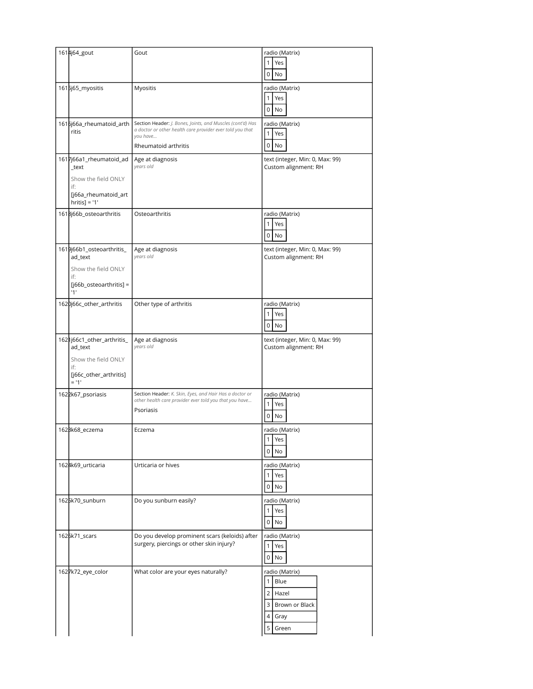| 1614j64_gout                                                                                               | Gout                                                                                                                                                        | radio (Matrix)<br>1<br>Yes<br>0<br>No                                                                               |
|------------------------------------------------------------------------------------------------------------|-------------------------------------------------------------------------------------------------------------------------------------------------------------|---------------------------------------------------------------------------------------------------------------------|
| 1615j65_myositis                                                                                           | Myositis                                                                                                                                                    | radio (Matrix)<br>$\mathbf{1}$<br>Yes<br>0<br>No                                                                    |
| 1616j66a_rheumatoid_arth<br>ritis                                                                          | Section Header: J. Bones, Joints, and Muscles (cont'd) Has<br>a doctor or other health care provider ever told you that<br>you have<br>Rheumatoid arthritis | radio (Matrix)<br>$\mathbf{1}$<br>Yes<br>0<br>No                                                                    |
| 1617j66a1_rheumatoid_ad<br>_text<br>Show the field ONLY<br>if:<br>[j66a_rheumatoid_art<br>$hritis$ ] = '1' | Age at diagnosis<br>years old                                                                                                                               | text (integer, Min: 0, Max: 99)<br>Custom alignment: RH                                                             |
| 1618j66b_osteoarthritis                                                                                    | Osteoarthritis                                                                                                                                              | radio (Matrix)<br>Yes<br>1<br>0<br>No                                                                               |
| 1619j66b1_osteoarthritis_<br>ad_text<br>Show the field ONLY<br>if:<br>$[i66b_osteoarthritis] =$<br>11'     | Age at diagnosis<br>years old                                                                                                                               | text (integer, Min: 0, Max: 99)<br>Custom alignment: RH                                                             |
| 1620j66c_other_arthritis                                                                                   | Other type of arthritis                                                                                                                                     | radio (Matrix)<br>1<br>Yes<br>0<br>No                                                                               |
| 1621j66c1_other_arthritis_<br>ad_text<br>Show the field ONLY<br>if:<br>[j66c_other_arthritis]<br>$= 11'$   | Age at diagnosis<br>years old                                                                                                                               | text (integer, Min: 0, Max: 99)<br>Custom alignment: RH                                                             |
| 1622k67_psoriasis                                                                                          | Section Header: K. Skin, Eyes, and Hair Has a doctor or<br>other health care provider ever told you that you have<br>Psoriasis                              | radio (Matrix)<br>Yes<br>1<br>0<br>No                                                                               |
| 162Bk68_eczema                                                                                             | Eczema                                                                                                                                                      | radio (Matrix)<br>1<br>Yes<br>0<br>No.                                                                              |
| 1624k69_urticaria                                                                                          | Urticaria or hives                                                                                                                                          | radio (Matrix)<br>Yes<br>$\mathbf{1}$<br>0<br>No                                                                    |
| 1625k70_sunburn                                                                                            | Do you sunburn easily?                                                                                                                                      | radio (Matrix)<br>$\mathbf{1}$<br>Yes<br>0<br>No                                                                    |
| 1626k71_scars                                                                                              | Do you develop prominent scars (keloids) after<br>surgery, piercings or other skin injury?                                                                  | radio (Matrix)<br>Yes<br>$\mathbf{1}$<br>0<br>No                                                                    |
| 1627k72_eye_color                                                                                          | What color are your eyes naturally?                                                                                                                         | radio (Matrix)<br>Blue<br>$\mathbf{1}$<br>$\overline{2}$<br>Hazel<br>3<br>Brown or Black<br>4<br>Gray<br>5<br>Green |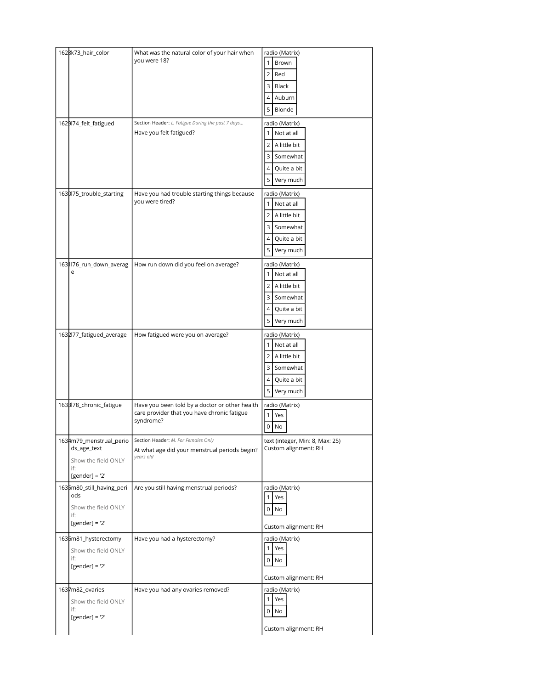| 1628k73_hair_color         | What was the natural color of your hair when<br>you were 18?    | radio (Matrix)                  |
|----------------------------|-----------------------------------------------------------------|---------------------------------|
|                            |                                                                 | Brown                           |
|                            |                                                                 | Red<br>2                        |
|                            |                                                                 | 3<br>Black                      |
|                            |                                                                 | 4<br>Auburn                     |
|                            |                                                                 | 5<br>Blonde                     |
| 1629l74_felt_fatigued      | Section Header: L. Fatigue During the past 7 days               | radio (Matrix)                  |
|                            | Have you felt fatigued?                                         | Not at all                      |
|                            |                                                                 | A little bit<br>2               |
|                            |                                                                 | Somewhat<br>3                   |
|                            |                                                                 | 4<br>Quite a bit                |
|                            |                                                                 | 5<br>Very much                  |
| 1630l75_trouble_starting   | Have you had trouble starting things because<br>you were tired? | radio (Matrix)                  |
|                            |                                                                 | Not at all                      |
|                            |                                                                 | A little bit<br>2               |
|                            |                                                                 | Somewhat<br>3                   |
|                            |                                                                 | Quite a bit<br>4                |
|                            |                                                                 | 5<br>Very much                  |
| 1631176_run_down_averag    | How run down did you feel on average?                           | radio (Matrix)                  |
| e                          |                                                                 | Not at all                      |
|                            |                                                                 | A little bit<br>2               |
|                            |                                                                 | Somewhat<br>3                   |
|                            |                                                                 | Quite a bit<br>4                |
|                            |                                                                 | 5<br>Very much                  |
| 1632l77_fatigued_average   | How fatigued were you on average?                               | radio (Matrix)                  |
|                            |                                                                 | Not at all                      |
|                            |                                                                 | A little bit<br>2               |
|                            |                                                                 | Somewhat<br>3                   |
|                            |                                                                 | Quite a bit<br>4                |
|                            |                                                                 | 5<br>Very much                  |
| 163Bl78_chronic_fatigue    | Have you been told by a doctor or other health                  | radio (Matrix)                  |
|                            | care provider that you have chronic fatigue<br>syndrome?        | Yes<br>1                        |
|                            |                                                                 | 0<br>No                         |
| 1634m79_menstrual_perio    | Section Header: M. For Females Only                             | text (integer, Min: 8, Max: 25) |
| ds_age_text                | At what age did your menstrual periods begin?<br>years old      | Custom alignment: RH            |
| Show the field ONLY<br>if: |                                                                 |                                 |
| [ $gender$ ] = '2'         |                                                                 |                                 |
| 1635m80_still_having_peri  | Are you still having menstrual periods?                         | radio (Matrix)                  |
| ods                        |                                                                 | Yes<br>1                        |
| Show the field ONLY<br>if: |                                                                 | 0<br>No                         |
| [ $gender$ ] = '2'         |                                                                 | Custom alignment: RH            |
| 1636m81_hysterectomy       | Have you had a hysterectomy?                                    | radio (Matrix)                  |
| Show the field ONLY        |                                                                 | $\mathbf{1}$<br>Yes             |
| if:                        |                                                                 | $0$ No                          |
| [ $gender$ ] = '2'         |                                                                 |                                 |
|                            |                                                                 | Custom alignment: RH            |
| 1637m82_ovaries            | Have you had any ovaries removed?                               | radio (Matrix)                  |
| Show the field ONLY        |                                                                 | Yes<br>1 <sup>1</sup>           |
| if:<br>[ $gender$ ] = '2'  |                                                                 | $\overline{0}$<br>No            |
|                            |                                                                 | Custom alignment: RH            |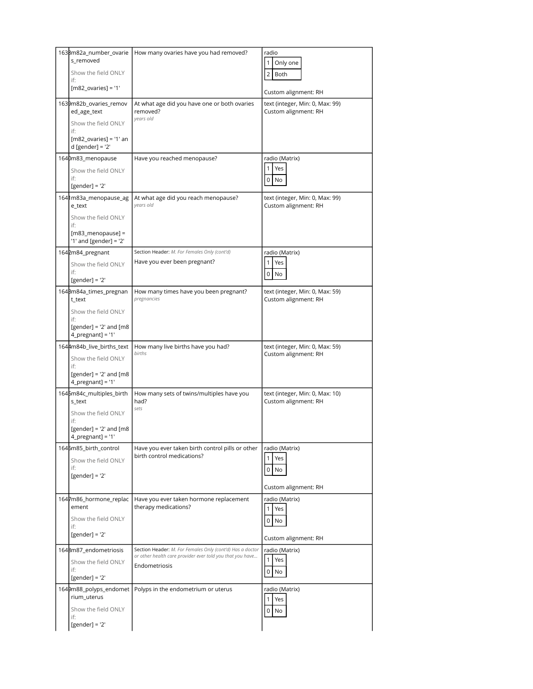| 1638m82a_number_ovarie                                  | How many ovaries have you had removed?                                                                                 | radio                                                   |
|---------------------------------------------------------|------------------------------------------------------------------------------------------------------------------------|---------------------------------------------------------|
| s_removed                                               |                                                                                                                        | $\mathbf{1}$<br>Only one                                |
| Show the field ONLY<br>if:                              |                                                                                                                        | $\overline{2}$<br>Both                                  |
| $[m82_ovaries] = '1'$                                   |                                                                                                                        | Custom alignment: RH                                    |
| 1639m82b_ovaries_remov                                  | At what age did you have one or both ovaries                                                                           | text (integer, Min: 0, Max: 99)                         |
| ed_age_text                                             | removed?<br>years old                                                                                                  | Custom alignment: RH                                    |
| Show the field ONLY<br>if:                              |                                                                                                                        |                                                         |
| $[m82 \text{ ovaries}] = '1'$ an<br>$d$ [gender] = '2'  |                                                                                                                        |                                                         |
| 1640m83_menopause                                       | Have you reached menopause?                                                                                            | radio (Matrix)                                          |
| Show the field ONLY<br>if:                              |                                                                                                                        | 1<br>Yes                                                |
| $[gender] = '2'$                                        |                                                                                                                        | 0<br>No                                                 |
| 1641m83a_menopause_ag<br>e_text                         | At what age did you reach menopause?<br>years old                                                                      | text (integer, Min: 0, Max: 99)<br>Custom alignment: RH |
| Show the field ONLY<br>if:                              |                                                                                                                        |                                                         |
| $[m83_m$ enopause] =<br>'1' and [gender] = '2'          |                                                                                                                        |                                                         |
| 1642m84_pregnant                                        | Section Header: M. For Females Only (cont'd)                                                                           | radio (Matrix)                                          |
| Show the field ONLY                                     | Have you ever been pregnant?                                                                                           | 1<br>Yes                                                |
| if:<br>$[gender] = '2'$                                 |                                                                                                                        | 0<br>No                                                 |
| 164Bm84a_times_pregnan<br>t_text                        | How many times have you been pregnant?<br>pregnancies                                                                  | text (integer, Min: 0, Max: 59)<br>Custom alignment: RH |
| Show the field ONLY                                     |                                                                                                                        |                                                         |
| if:<br>[gender] = $'2'$ and [m8<br>$4$ _pregnant] = '1' |                                                                                                                        |                                                         |
|                                                         |                                                                                                                        |                                                         |
|                                                         |                                                                                                                        |                                                         |
| 1644m84b_live_births_text<br>Show the field ONLY        | How many live births have you had?<br>births                                                                           | text (integer, Min: 0, Max: 59)<br>Custom alignment: RH |
| if:<br>[gender] = $'2'$ and [m8<br>$4$ pregnant] = '1'  |                                                                                                                        |                                                         |
| 1645m84c_multiples_birth                                | How many sets of twins/multiples have you                                                                              | text (integer, Min: 0, Max: 10)                         |
| s_text                                                  | had?<br>sets                                                                                                           | Custom alignment: RH                                    |
| Show the field ONLY<br>if:                              |                                                                                                                        |                                                         |
| [gender] = $'2'$ and [m8<br>4_pregnant] = '1'           |                                                                                                                        |                                                         |
| 1646m85_birth_control                                   | Have you ever taken birth control pills or other                                                                       | radio (Matrix)                                          |
| Show the field ONLY                                     | birth control medications?                                                                                             | Yes<br>$\mathbf{1}$                                     |
| if:<br>[gender] = $'2'$                                 |                                                                                                                        | 0<br>No                                                 |
|                                                         |                                                                                                                        | Custom alignment: RH                                    |
| 1647m86_hormone_replac<br>ement                         | Have you ever taken hormone replacement<br>therapy medications?                                                        | radio (Matrix)                                          |
| Show the field ONLY                                     |                                                                                                                        | Yes<br>1<br>0<br>No                                     |
| if:<br>$[gender] = '2'$                                 |                                                                                                                        |                                                         |
|                                                         |                                                                                                                        | Custom alignment: RH                                    |
| 1648m87_endometriosis                                   | Section Header: M. For Females Only (cont'd) Has a doctor<br>or other health care provider ever told you that you have | radio (Matrix)<br>$\mathbf{1}$<br>Yes                   |
| Show the field ONLY<br>if:                              | Endometriosis                                                                                                          | 0<br>No                                                 |
| $[gender] = '2'$                                        |                                                                                                                        |                                                         |
| 1649m88_polyps_endomet<br>rium_uterus                   | Polyps in the endometrium or uterus                                                                                    | radio (Matrix)<br>$\mathbf{1}$<br>Yes                   |
| Show the field ONLY<br>if:                              |                                                                                                                        | 0<br>No                                                 |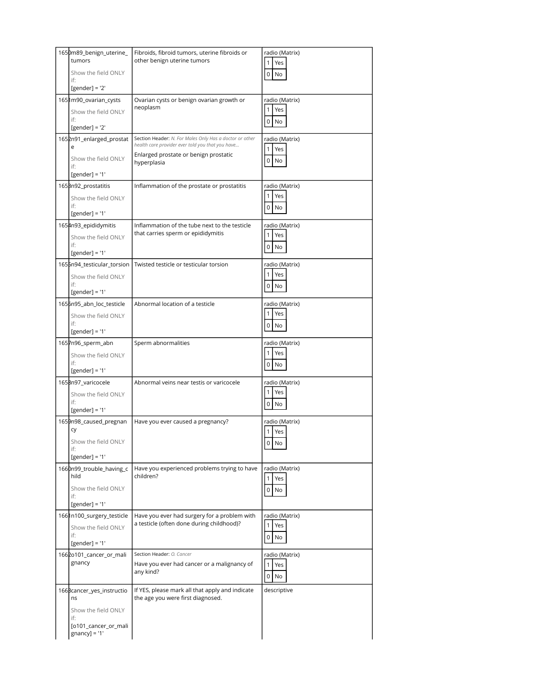| 1650m89_benign_uterine_<br>tumors              | Fibroids, fibroid tumors, uterine fibroids or<br>other benign uterine tumors                                | radio (Matrix)<br>1<br>Yes |
|------------------------------------------------|-------------------------------------------------------------------------------------------------------------|----------------------------|
| Show the field ONLY<br>if:                     |                                                                                                             | $\overline{0}$<br>No       |
| [gender] = $'2'$                               |                                                                                                             |                            |
| 1651m90_ovarian_cysts                          | Ovarian cysts or benign ovarian growth or<br>neoplasm                                                       | radio (Matrix)             |
| Show the field ONLY<br>if:                     |                                                                                                             | Yes<br>1                   |
| [ $gender$ ] = '2'                             |                                                                                                             | 0<br>No                    |
| 1652n91_enlarged_prostat<br>e                  | Section Header: N. For Males Only Has a doctor or other<br>health care provider ever told you that you have | radio (Matrix)<br>1        |
| Show the field ONLY<br>if:                     | Enlarged prostate or benign prostatic<br>hyperplasia                                                        | Yes<br>0<br>No             |
| $[gender] = '1'$                               |                                                                                                             |                            |
| 1653n92_prostatitis                            | Inflammation of the prostate or prostatitis                                                                 | radio (Matrix)             |
| Show the field ONLY                            |                                                                                                             | Yes<br>$\mathbf{1}$        |
| if:<br>[gender] = $'1'$                        |                                                                                                             | $0$ No                     |
| 1654n93_epididymitis                           | Inflammation of the tube next to the testicle                                                               | radio (Matrix)             |
| Show the field ONLY                            | that carries sperm or epididymitis                                                                          | Yes<br>1                   |
| if:                                            |                                                                                                             | 0<br>No                    |
| [gender] = $'1'$<br>1655n94_testicular_torsion | Twisted testicle or testicular torsion                                                                      | radio (Matrix)             |
| Show the field ONLY                            |                                                                                                             | Yes<br>1                   |
| if:                                            |                                                                                                             | 0<br>No                    |
| [gender] = $'1'$                               |                                                                                                             |                            |
| 1656n95_abn_loc_testicle                       | Abnormal location of a testicle                                                                             | radio (Matrix)             |
| Show the field ONLY<br>if:                     |                                                                                                             | Yes<br>1                   |
| $[gender] = '1'$                               |                                                                                                             | 0<br>No                    |
| 1657n96_sperm_abn                              | Sperm abnormalities                                                                                         | radio (Matrix)             |
| Show the field ONLY                            |                                                                                                             | 1<br>Yes                   |
| if:<br>[gender] = $'1'$                        |                                                                                                             | $\overline{0}$<br>No       |
| 1658n97_varicocele                             | Abnormal veins near testis or varicocele                                                                    | radio (Matrix)             |
| Show the field ONLY                            |                                                                                                             | 1<br>Yes                   |
| if:                                            |                                                                                                             | <b>No</b><br>0             |
| [gender] = $'1'$<br>1659n98_caused_pregnan     |                                                                                                             |                            |
| cy                                             | Have you ever caused a pregnancy?                                                                           | radio (Matrix)<br>1 Yes    |
| Show the field ONLY                            |                                                                                                             | $0$ No                     |
| if:<br>$[gender] = '1'$                        |                                                                                                             |                            |
| 1660n99_trouble_having_c                       | Have you experienced problems trying to have                                                                | radio (Matrix)             |
| hild                                           | children?                                                                                                   | Yes<br>1                   |
| Show the field ONLY                            |                                                                                                             | 0<br>No                    |
| if:<br>[gender] = $'1'$                        |                                                                                                             |                            |
| 1661n100_surgery_testicle                      | Have you ever had surgery for a problem with                                                                | radio (Matrix)             |
| Show the field ONLY                            | a testicle (often done during childhood)?                                                                   | 1<br>Yes                   |
| if:<br>[ $gender$ ] = '1'                      |                                                                                                             | 0<br>No                    |
| 1662o101_cancer_or_mali                        | Section Header: O. Cancer                                                                                   | radio (Matrix)             |
| gnancy                                         | Have you ever had cancer or a malignancy of                                                                 | 1<br>Yes                   |
|                                                | any kind?                                                                                                   | No<br>$\overline{0}$       |
| 166Bcancer_yes_instructio                      | If YES, please mark all that apply and indicate                                                             | descriptive                |
| ns                                             | the age you were first diagnosed.                                                                           |                            |
| Show the field ONLY                            |                                                                                                             |                            |
| if:<br>[o101_cancer_or_mali                    |                                                                                                             |                            |
| $gnancy$ ] = '1'                               |                                                                                                             |                            |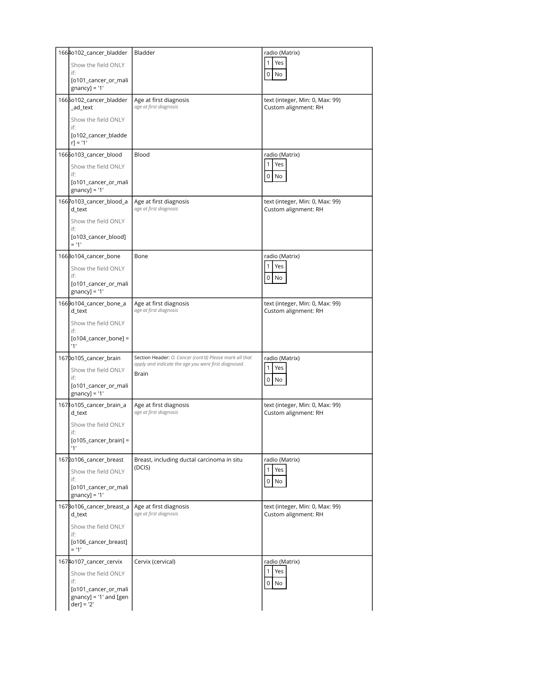| 1664o102_cancer_bladder                      | Bladder                                                                                                         | radio (Matrix)                                          |
|----------------------------------------------|-----------------------------------------------------------------------------------------------------------------|---------------------------------------------------------|
| Show the field ONLY                          |                                                                                                                 | Yes<br>1                                                |
| if:                                          |                                                                                                                 | 0<br>No                                                 |
| [o101_cancer_or_mali<br>$gnancy$ ] = '1'     |                                                                                                                 |                                                         |
| 1665o102_cancer_bladder<br>ad text           | Age at first diagnosis<br>age at first diagnosis                                                                | text (integer, Min: 0, Max: 99)<br>Custom alignment: RH |
| Show the field ONLY<br>if:                   |                                                                                                                 |                                                         |
| [o102_cancer_bladde<br>$r$ ] = '1'           |                                                                                                                 |                                                         |
| 1666o103_cancer_blood                        | Blood                                                                                                           | radio (Matrix)                                          |
| Show the field ONLY<br>if:                   |                                                                                                                 | Yes<br>1                                                |
| [0101_cancer_or_mali<br>$gnancy$ ] = '1'     |                                                                                                                 | 0<br>No                                                 |
| 1667o103_cancer_blood_a<br>d_text            | Age at first diagnosis<br>age at first diagnosis                                                                | text (integer, Min: 0, Max: 99)<br>Custom alignment: RH |
| Show the field ONLY<br>if:                   |                                                                                                                 |                                                         |
| [o103_cancer_blood]<br>$= 11$                |                                                                                                                 |                                                         |
| 1668o104_cancer_bone                         | Bone                                                                                                            | radio (Matrix)                                          |
| Show the field ONLY<br>if:                   |                                                                                                                 | Yes<br>1                                                |
| [o101_cancer_or_mali                         |                                                                                                                 | 0<br>No                                                 |
| $gnancy$ ] = '1'                             |                                                                                                                 |                                                         |
| 1669o104_cancer_bone_a<br>d_text             | Age at first diagnosis<br>age at first diagnosis                                                                | text (integer, Min: 0, Max: 99)<br>Custom alignment: RH |
| Show the field ONLY<br>if:                   |                                                                                                                 |                                                         |
| $[0104 \text{_cancer}\text{_bone}] =$<br>'1' |                                                                                                                 |                                                         |
| 1670o105_cancer_brain                        | Section Header: O. Cancer (cont'd) Please mark all that<br>apply and indicate the age you were first diagnosed. | radio (Matrix)                                          |
| Show the field ONLY<br>if:                   | Brain                                                                                                           | 1<br>Yes                                                |
| [o101_cancer_or_mali                         |                                                                                                                 | 0<br>No                                                 |
| $gnancy$ ] = '1'                             |                                                                                                                 |                                                         |
| 16710105_cancer_brain_a<br>d_text            | Age at first diagnosis<br>age at first diagnosis                                                                | text (integer, Min: 0, Max: 99)<br>Custom alignment: RH |
| Show the field ONLY<br>if:                   |                                                                                                                 |                                                         |
| $[0105$ _cancer_brain] =<br>'1'              |                                                                                                                 |                                                         |
| 1672o106_cancer_breast                       | Breast, including ductal carcinoma in situ                                                                      | radio (Matrix)                                          |
| Show the field ONLY<br>if:                   | (DCIS)                                                                                                          | Yes<br>1                                                |
| [o101_cancer_or_mali<br>$gnancy$ ] = '1'     |                                                                                                                 | 0<br>No                                                 |
| 167Bo106_cancer_breast_a<br>d_text           | Age at first diagnosis<br>age at first diagnosis                                                                | text (integer, Min: 0, Max: 99)<br>Custom alignment: RH |
|                                              |                                                                                                                 |                                                         |
| Show the field ONLY                          |                                                                                                                 |                                                         |
| if:<br>[o106_cancer_breast]<br>$= 11'$       |                                                                                                                 |                                                         |
| 1674o107_cancer_cervix                       | Cervix (cervical)                                                                                               | radio (Matrix)                                          |
| Show the field ONLY                          |                                                                                                                 | Yes<br>1                                                |
| if:<br>[o101_cancer_or_mali                  |                                                                                                                 | $\overline{0}$<br>No                                    |
| $gnancy$ ] = '1' and [gen<br>$der] = '2'$    |                                                                                                                 |                                                         |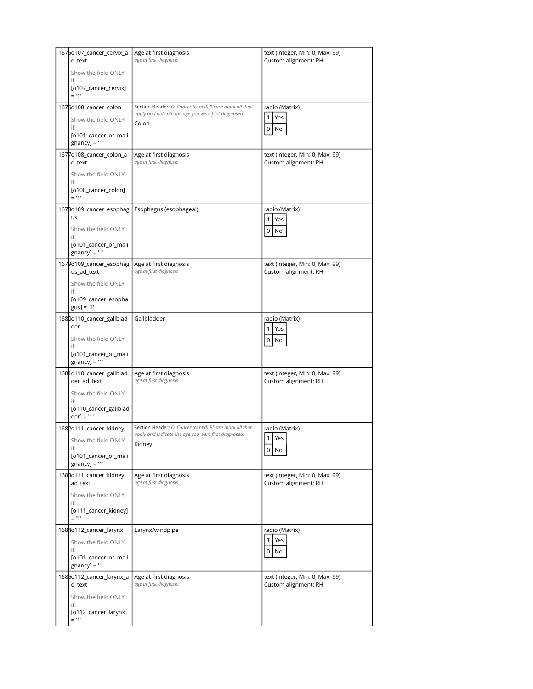| 1675o107_cancer_cervix_a<br>d_text<br>Show the field ONLY | Age at first diagnosis<br>age at first diagnosis                                                                | text (integer, Min: 0, Max: 99)<br>Custom alignment: RH |
|-----------------------------------------------------------|-----------------------------------------------------------------------------------------------------------------|---------------------------------------------------------|
| if:<br>[o107_cancer_cervix]<br>$= 11$                     |                                                                                                                 |                                                         |
| 1676o108_cancer_colon                                     | Section Header: O. Cancer (cont'd) Please mark all that                                                         | radio (Matrix)                                          |
| Show the field ONLY                                       | apply and indicate the age you were first diagnosed.<br>Colon                                                   | Yes<br>1                                                |
| if:<br>[o101_cancer_or_mali<br>$gnancy$ ] = '1'           |                                                                                                                 | 0<br>No                                                 |
| 1677o108_cancer_colon_a<br>d_text                         | Age at first diagnosis<br>age at first diagnosis                                                                | text (integer, Min: 0, Max: 99)<br>Custom alignment: RH |
| Show the field ONLY<br>if:                                |                                                                                                                 |                                                         |
| [o108_cancer_colon]<br>$= 11$                             |                                                                                                                 |                                                         |
| 1678o109_cancer_esophag<br><b>us</b>                      | Esophagus (esophageal)                                                                                          | radio (Matrix)<br>Yes<br>$\mathbf{1}$                   |
| Show the field ONLY<br>if:                                |                                                                                                                 | 0<br>No                                                 |
| [o101_cancer_or_mali<br>$gnancy$ ] = '1'                  |                                                                                                                 |                                                         |
| 1679o109_cancer_esophag<br>us_ad_text                     | Age at first diagnosis<br>age at first diagnosis                                                                | text (integer, Min: 0, Max: 99)<br>Custom alignment: RH |
| Show the field ONLY<br>if:                                |                                                                                                                 |                                                         |
| [o109_cancer_esopha<br>$gus] = '1'$                       |                                                                                                                 |                                                         |
| 1680o110_cancer_gallblad<br>der                           | Gallbladder                                                                                                     | radio (Matrix)<br>1<br>Yes                              |
| Show the field ONLY<br>if:                                |                                                                                                                 | 0<br>No                                                 |
| [o101_cancer_or_mali<br>$gnancy$ ] = '1'                  |                                                                                                                 |                                                         |
| 1681o110_cancer_gallblad<br>der_ad_text                   | Age at first diagnosis<br>age at first diagnosis                                                                | text (integer, Min: 0, Max: 99)<br>Custom alignment: RH |
| Show the field ONLY<br>if:                                |                                                                                                                 |                                                         |
| [o110_cancer_gallblad<br>$der] = '1'$                     |                                                                                                                 |                                                         |
| 1682o111_cancer_kidney                                    | Section Header: O. Cancer (cont'd) Please mark all that<br>apply and indicate the age you were first diagnosed. | radio (Matrix)<br>1 Yes                                 |
| Show the field ONLY<br>if:                                | Kidney                                                                                                          | 0<br>No                                                 |
| [o101_cancer_or_mali<br>$gnancy$ ] = '1'                  |                                                                                                                 |                                                         |
| 168Bo111_cancer_kidney_<br>ad_text                        | Age at first diagnosis<br>age at first diagnosis                                                                | text (integer, Min: 0, Max: 99)<br>Custom alignment: RH |
| Show the field ONLY<br>if:                                |                                                                                                                 |                                                         |
| [o111_cancer_kidney]<br>$= 11$                            |                                                                                                                 |                                                         |
| 1684o112_cancer_larynx                                    | Larynx/windpipe                                                                                                 | radio (Matrix)                                          |
| Show the field ONLY<br>if:                                |                                                                                                                 | Yes<br>0<br>No                                          |
| [o101_cancer_or_mali<br>$gnancy$ ] = '1'                  |                                                                                                                 |                                                         |
| 1685o112_cancer_larynx_a<br>d_text                        | Age at first diagnosis<br>age at first diagnosis                                                                | text (integer, Min: 0, Max: 99)<br>Custom alignment: RH |
| Show the field ONLY                                       |                                                                                                                 |                                                         |
| if:<br>[o112_cancer_larynx]<br>$= 11$                     |                                                                                                                 |                                                         |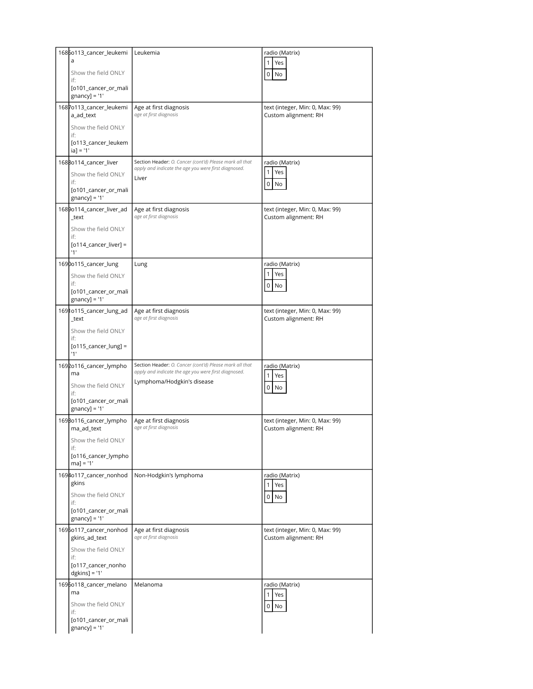| 1686o113_cancer_leukemi<br>a                    | Leukemia                                                                                                        | radio (Matrix)                                          |
|-------------------------------------------------|-----------------------------------------------------------------------------------------------------------------|---------------------------------------------------------|
| Show the field ONLY                             |                                                                                                                 | Yes<br>$\mathbf{1}$<br>$\overline{0}$<br>No             |
| if:<br>[0101_cancer_or_mali                     |                                                                                                                 |                                                         |
| $gnancy$ ] = '1'                                |                                                                                                                 |                                                         |
| 1687o113_cancer_leukemi<br>a_ad_text            | Age at first diagnosis<br>age at first diagnosis                                                                | text (integer, Min: 0, Max: 99)<br>Custom alignment: RH |
| Show the field ONLY<br>if:                      |                                                                                                                 |                                                         |
| [o113_cancer_leukem<br>$ a  = '1'$              |                                                                                                                 |                                                         |
| 1688o114_cancer_liver                           | Section Header: O. Cancer (cont'd) Please mark all that<br>apply and indicate the age you were first diagnosed. | radio (Matrix)                                          |
| Show the field ONLY<br>if:                      | Liver                                                                                                           | 1<br>Yes                                                |
| [0101_cancer_or_mali<br>$gnancy$ ] = '1'        |                                                                                                                 | $\overline{0}$<br>No                                    |
| 1689o114_cancer_liver_ad<br>_text               | Age at first diagnosis<br>age at first diagnosis                                                                | text (integer, Min: 0, Max: 99)<br>Custom alignment: RH |
| Show the field ONLY                             |                                                                                                                 |                                                         |
| if:<br>$[0114$ _cancer_liver] =<br>'1'          |                                                                                                                 |                                                         |
| 1690o115_cancer_lung                            | Lung                                                                                                            | radio (Matrix)                                          |
| Show the field ONLY                             |                                                                                                                 | 1<br>Yes                                                |
| if:<br>[o101_cancer_or_mali                     |                                                                                                                 | $\overline{0}$<br>No                                    |
| $gnancy$ ] = '1'<br>1691o115_cancer_lung_ad     | Age at first diagnosis                                                                                          | text (integer, Min: 0, Max: 99)                         |
| _text                                           | age at first diagnosis                                                                                          | Custom alignment: RH                                    |
| Show the field ONLY<br>if:                      |                                                                                                                 |                                                         |
| $[0115$ _cancer_lung] =<br>'1'                  |                                                                                                                 |                                                         |
| 1692o116_cancer_lympho<br>ma                    | Section Header: O. Cancer (cont'd) Please mark all that<br>apply and indicate the age you were first diagnosed. | radio (Matrix)<br>$\mathbf{1}$<br>Yes                   |
| Show the field ONLY                             | Lymphoma/Hodgkin's disease                                                                                      | $0$ No                                                  |
| if:<br>[0101_cancer_or_mali                     |                                                                                                                 |                                                         |
| $gnancy$ ] = '1'                                |                                                                                                                 |                                                         |
| 1698o116_cancer_lympho<br>ma_ad_text            | Age at first diagnosis<br>age at first diagnosis                                                                | text (integer, Min: 0, Max: 99)<br>Custom alignment: RH |
| Show the field ONLY<br>if:                      |                                                                                                                 |                                                         |
| [o116_cancer_lympho<br>$ma] = '1'$              |                                                                                                                 |                                                         |
| 1694o117_cancer_nonhod<br>gkins                 | Non-Hodgkin's lymphoma                                                                                          | radio (Matrix)                                          |
| Show the field ONLY                             |                                                                                                                 | 1 <sup>1</sup><br>Yes<br>$0$ No                         |
| if:<br>[0101_cancer_or_mali<br>$gnancy$ ] = '1' |                                                                                                                 |                                                         |
| 1695o117_cancer_nonhod<br>gkins_ad_text         | Age at first diagnosis<br>age at first diagnosis                                                                | text (integer, Min: 0, Max: 99)<br>Custom alignment: RH |
| Show the field ONLY                             |                                                                                                                 |                                                         |
| if:<br>[o117_cancer_nonho<br>$dgkins] = '1'$    |                                                                                                                 |                                                         |
| 1696o118_cancer_melano                          | Melanoma                                                                                                        | radio (Matrix)                                          |
| ma<br>Show the field ONLY                       |                                                                                                                 | $\mathbf{1}$<br>Yes<br>$0$ No                           |
| if:<br>[o101_cancer_or_mali                     |                                                                                                                 |                                                         |
| $gnancy$ ] = '1'                                |                                                                                                                 |                                                         |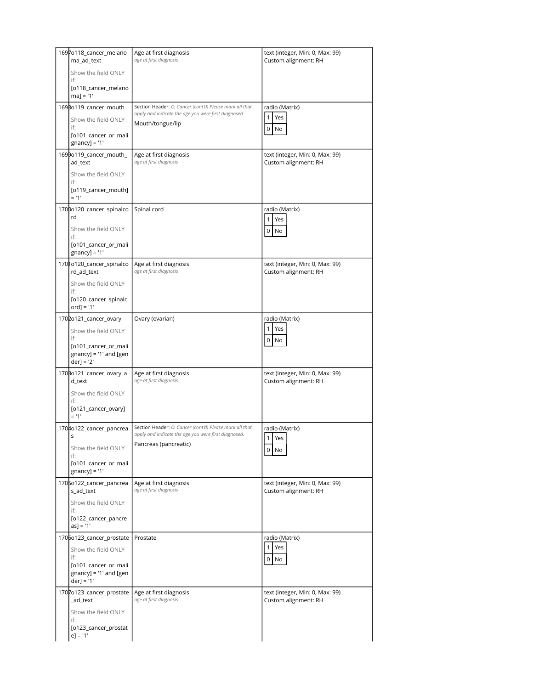| 1697o118_cancer_melano<br>ma_ad_text              | Age at first diagnosis<br>age at first diagnosis                                                                | text (integer, Min: 0, Max: 99)<br>Custom alignment: RH |
|---------------------------------------------------|-----------------------------------------------------------------------------------------------------------------|---------------------------------------------------------|
| Show the field ONLY<br>if:                        |                                                                                                                 |                                                         |
| [o118_cancer_melano<br>$ma] = '1'$                |                                                                                                                 |                                                         |
| 1698o119_cancer_mouth                             | Section Header: O. Cancer (cont'd) Please mark all that<br>apply and indicate the age you were first diagnosed. | radio (Matrix)                                          |
| Show the field ONLY<br>if:                        | Mouth/tongue/lip                                                                                                | Yes<br>1                                                |
| [0101_cancer_or_mali<br>$gnancy$ ] = '1'          |                                                                                                                 | 0<br>No                                                 |
| 1699o119_cancer_mouth_<br>ad_text                 | Age at first diagnosis<br>age at first diagnosis                                                                | text (integer, Min: 0, Max: 99)<br>Custom alignment: RH |
| Show the field ONLY<br>if:                        |                                                                                                                 |                                                         |
| [o119_cancer_mouth]<br>$= 11'$                    |                                                                                                                 |                                                         |
| 1700o120_cancer_spinalco<br>rd                    | Spinal cord                                                                                                     | radio (Matrix)                                          |
| Show the field ONLY<br>if:                        |                                                                                                                 | 1<br>Yes<br>0<br>No                                     |
| [0101_cancer_or_mali<br>$gnancy$ ] = '1'          |                                                                                                                 |                                                         |
| 1701o120_cancer_spinalco<br>rd_ad_text            | Age at first diagnosis<br>age at first diagnosis                                                                | text (integer, Min: 0, Max: 99)<br>Custom alignment: RH |
| Show the field ONLY<br>if:                        |                                                                                                                 |                                                         |
| [o120_cancer_spinalc<br>$ord$ ] = '1'             |                                                                                                                 |                                                         |
| 1702o121_cancer_ovary                             | Ovary (ovarian)                                                                                                 | radio (Matrix)                                          |
| Show the field ONLY<br>if:                        |                                                                                                                 | 1<br>Yes                                                |
| [0101_cancer_or_mali                              |                                                                                                                 | 0<br>No                                                 |
| $gnancy$ ] = '1' and [gen<br>$der] = '2'$         |                                                                                                                 |                                                         |
| 1708o121_cancer_ovary_a<br>d_text                 | Age at first diagnosis<br>age at first diagnosis                                                                | text (integer, Min: 0, Max: 99)<br>Custom alignment: RH |
| Show the field ONLY<br>if:                        |                                                                                                                 |                                                         |
| [o121_cancer_ovary]<br>$= 11'$                    |                                                                                                                 |                                                         |
| 1704o122_cancer_pancrea<br>S                      | Section Header: O. Cancer (cont'd) Please mark all that<br>apply and indicate the age you were first diagnosed. | radio (Matrix)                                          |
| Show the field ONLY                               | Pancreas (pancreatic)                                                                                           | 1<br>Yes<br>0<br>No                                     |
| if:<br>[0101_cancer_or_mali                       |                                                                                                                 |                                                         |
| $gnancy$ ] = '1'                                  |                                                                                                                 |                                                         |
| 1705o122_cancer_pancrea<br>s_ad_text              | Age at first diagnosis<br>age at first diagnosis                                                                | text (integer, Min: 0, Max: 99)<br>Custom alignment: RH |
| Show the field ONLY<br>if:                        |                                                                                                                 |                                                         |
| [o122_cancer_pancre<br>$as] = '1'$                |                                                                                                                 |                                                         |
| 1706o123_cancer_prostate                          | Prostate                                                                                                        | radio (Matrix)                                          |
| Show the field ONLY<br>if:                        |                                                                                                                 | 1<br>Yes<br>$\overline{0}$<br>No                        |
| [o101_cancer_or_mali<br>$gnancy$ ] = '1' and [gen |                                                                                                                 |                                                         |
| $der] = '1'$                                      |                                                                                                                 |                                                         |
| 1707o123_cancer_prostate<br>_ad_text              | Age at first diagnosis<br>age at first diagnosis                                                                | text (integer, Min: 0, Max: 99)<br>Custom alignment: RH |
| Show the field ONLY<br>if:                        |                                                                                                                 |                                                         |
| [o123_cancer_prostat<br>$e$ ] = '1'               |                                                                                                                 |                                                         |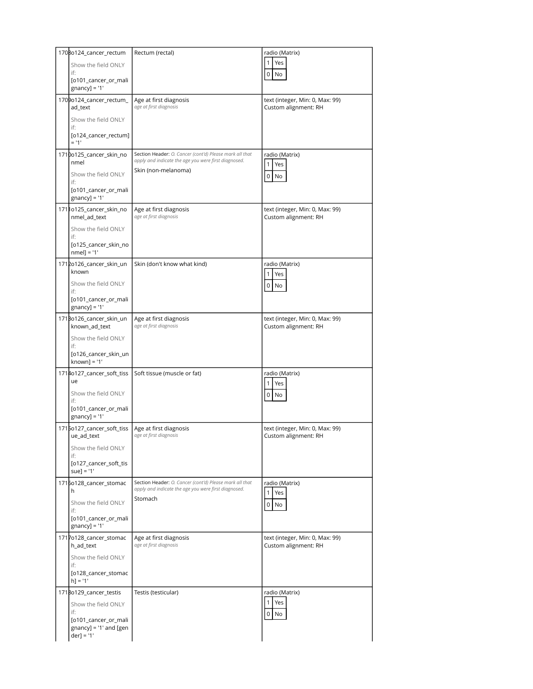| 1708o124_cancer_rectum                                            | Rectum (rectal)                                                                                                 | radio (Matrix)                                          |
|-------------------------------------------------------------------|-----------------------------------------------------------------------------------------------------------------|---------------------------------------------------------|
| Show the field ONLY<br>if:                                        |                                                                                                                 | Yes<br>1                                                |
| [0101_cancer_or_mali<br>$gnancy$ ] = '1'                          |                                                                                                                 | 0<br>No                                                 |
| 1709o124_cancer_rectum_<br>ad_text                                | Age at first diagnosis<br>age at first diagnosis                                                                | text (integer, Min: 0, Max: 99)<br>Custom alignment: RH |
| Show the field ONLY<br>if:                                        |                                                                                                                 |                                                         |
| [o124_cancer_rectum]<br>$= 11$                                    |                                                                                                                 |                                                         |
| 1710o125_cancer_skin_no<br>nmel                                   | Section Header: O. Cancer (cont'd) Please mark all that<br>apply and indicate the age you were first diagnosed. | radio (Matrix)<br>Yes<br>1                              |
| Show the field ONLY<br>if:                                        | Skin (non-melanoma)                                                                                             | 0<br>No                                                 |
| [0101_cancer_or_mali<br>$gnancy$ ] = '1'                          |                                                                                                                 |                                                         |
| 17110125_cancer_skin_no<br>nmel ad text                           | Age at first diagnosis<br>age at first diagnosis                                                                | text (integer, Min: 0, Max: 99)<br>Custom alignment: RH |
| Show the field ONLY<br>if:                                        |                                                                                                                 |                                                         |
| [o125_cancer_skin_no<br>$nmel] = '1'$                             |                                                                                                                 |                                                         |
| 1712o126_cancer_skin_un<br>known                                  | Skin (don't know what kind)                                                                                     | radio (Matrix)<br>Yes<br>1                              |
| Show the field ONLY<br>if:                                        |                                                                                                                 | 0<br>No                                                 |
| [0101_cancer_or_mali<br>$gnancy$ ] = '1'                          |                                                                                                                 |                                                         |
| 171Bo126_cancer_skin_un<br>known_ad_text                          | Age at first diagnosis<br>age at first diagnosis                                                                | text (integer, Min: 0, Max: 99)<br>Custom alignment: RH |
| Show the field ONLY<br>if:                                        |                                                                                                                 |                                                         |
| [o126_cancer_skin_un<br>$known$ ] = '1'                           |                                                                                                                 |                                                         |
| 1714o127_cancer_soft_tiss<br>ue                                   | Soft tissue (muscle or fat)                                                                                     | radio (Matrix)<br>Yes<br>1                              |
| Show the field ONLY<br>if:                                        |                                                                                                                 | 0<br>No                                                 |
| [0101_cancer_or_mali<br>$gnancy$ ] = '1'                          |                                                                                                                 |                                                         |
| 1715o127_cancer_soft_tiss   Age at first diagnosis<br>ue_ad_text  | age at first diagnosis                                                                                          | text (integer, Min: 0, Max: 99)<br>Custom alignment: RH |
| Show the field ONLY<br>if:                                        |                                                                                                                 |                                                         |
| [o127_cancer_soft_tis<br>$suel = '1'$                             |                                                                                                                 |                                                         |
| 1716o128_cancer_stomac<br>h                                       | Section Header: O. Cancer (cont'd) Please mark all that<br>apply and indicate the age you were first diagnosed. | radio (Matrix)<br>Yes<br>1                              |
| Show the field ONLY<br>if:                                        | Stomach                                                                                                         | 0<br>No                                                 |
| [0101_cancer_or_mali<br>$gnancy$ ] = '1'                          |                                                                                                                 |                                                         |
| 1717o128_cancer_stomac<br>h_ad_text                               | Age at first diagnosis<br>age at first diagnosis                                                                | text (integer, Min: 0, Max: 99)<br>Custom alignment: RH |
| Show the field ONLY<br>if:                                        |                                                                                                                 |                                                         |
| [o128_cancer_stomac<br>$h] = '1'$                                 |                                                                                                                 |                                                         |
| 1718o129_cancer_testis                                            | Testis (testicular)                                                                                             | radio (Matrix)<br>Yes<br>1                              |
| Show the field ONLY<br>if:                                        |                                                                                                                 | 0<br>No                                                 |
| [o101_cancer_or_mali<br>$gnancy$ ] = '1' and [gen<br>$der] = '1'$ |                                                                                                                 |                                                         |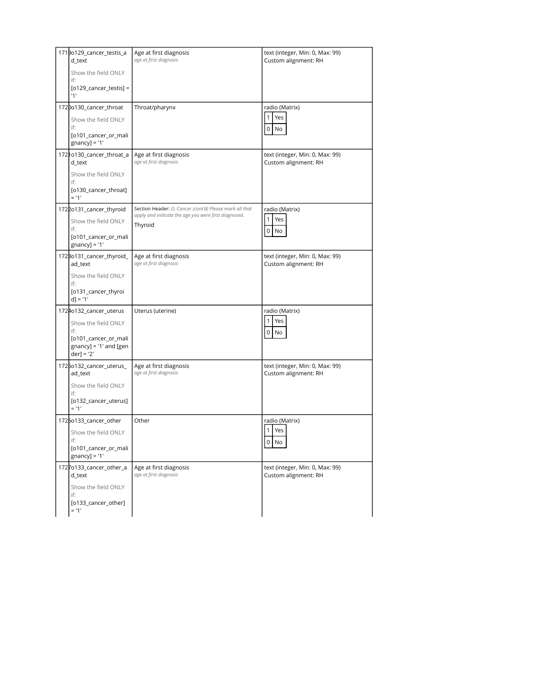| 1719o129_cancer_testis_a<br>d_text        | Age at first diagnosis<br>age at first diagnosis                                                                | text (integer, Min: 0, Max: 99)<br>Custom alignment: RH |
|-------------------------------------------|-----------------------------------------------------------------------------------------------------------------|---------------------------------------------------------|
| Show the field ONLY                       |                                                                                                                 |                                                         |
| if:<br>$[0129$ _cancer_testis] =          |                                                                                                                 |                                                         |
| '1'                                       |                                                                                                                 |                                                         |
| 1720o130_cancer_throat                    | Throat/pharynx                                                                                                  | radio (Matrix)                                          |
| Show the field ONLY<br>if:                |                                                                                                                 | Yes<br>1<br>$\mathsf 0$<br>No                           |
| [o101_cancer_or_mali<br>$gnancy$ ] = '1'  |                                                                                                                 |                                                         |
| 1721o130_cancer_throat_a<br>d_text        | Age at first diagnosis<br>age at first diagnosis                                                                | text (integer, Min: 0, Max: 99)<br>Custom alignment: RH |
| Show the field ONLY<br>if:                |                                                                                                                 |                                                         |
| [o130_cancer_throat]<br>$= 11'$           |                                                                                                                 |                                                         |
| 1722o131_cancer_thyroid                   | Section Header: O. Cancer (cont'd) Please mark all that<br>apply and indicate the age you were first diagnosed. | radio (Matrix)                                          |
| Show the field ONLY<br>if:                | Thyroid                                                                                                         | 1<br>Yes<br>0<br>No                                     |
| [o101_cancer_or_mali<br>$gnancy$ ] = '1'  |                                                                                                                 |                                                         |
| 1723o131_cancer_thyroid_<br>ad text       | Age at first diagnosis<br>age at first diagnosis                                                                | text (integer, Min: 0, Max: 99)<br>Custom alignment: RH |
| Show the field ONLY<br>if:                |                                                                                                                 |                                                         |
| [0131_cancer_thyroi<br>$d$ ] = '1'        |                                                                                                                 |                                                         |
| 1724o132_cancer_uterus                    | Uterus (uterine)                                                                                                | radio (Matrix)                                          |
| Show the field ONLY                       |                                                                                                                 | 1<br>Yes                                                |
| if:<br>[o101_cancer_or_mali               |                                                                                                                 | $\mathsf 0$<br>No                                       |
| $gnancy$ ] = '1' and [gen<br>$der] = '2'$ |                                                                                                                 |                                                         |
| 1725o132_cancer_uterus_<br>ad_text        | Age at first diagnosis<br>age at first diagnosis                                                                | text (integer, Min: 0, Max: 99)<br>Custom alignment: RH |
| Show the field ONLY<br>if:                |                                                                                                                 |                                                         |
| [o132_cancer_uterus]<br>$= 11$            |                                                                                                                 |                                                         |
| 1725o133_cancer_other                     | Other                                                                                                           | radio (Matrix)                                          |
| Show the field ONLY                       |                                                                                                                 | 1<br>Yes                                                |
| if:<br>[0101_cancer_or_mali               |                                                                                                                 | $0$ No                                                  |
| $gnancy$ ] = '1'                          |                                                                                                                 |                                                         |
| 1727o133_cancer_other_a<br>d_text         | Age at first diagnosis<br>age at first diagnosis                                                                | text (integer, Min: 0, Max: 99)<br>Custom alignment: RH |
| Show the field ONLY                       |                                                                                                                 |                                                         |
| if:<br>[o133_cancer_other]                |                                                                                                                 |                                                         |
| $= 11$                                    |                                                                                                                 |                                                         |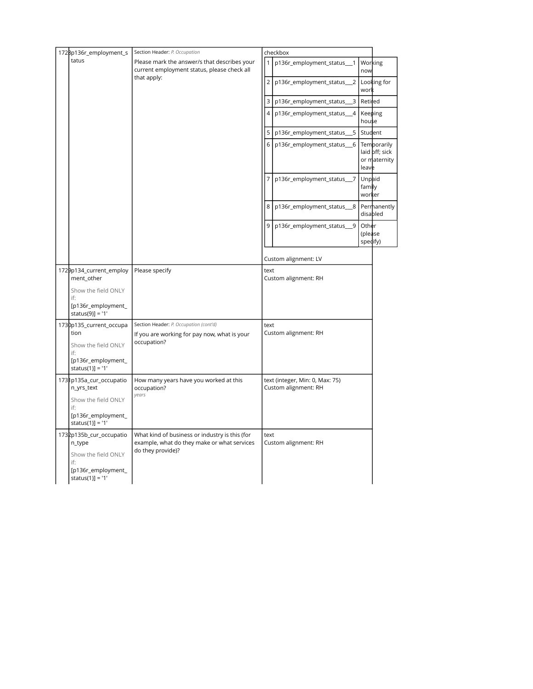| 1728p136r_employment_s                                                                                        | Section Header: P. Occupation                                                                                      |                | checkbox                                                |                              |                                               |
|---------------------------------------------------------------------------------------------------------------|--------------------------------------------------------------------------------------------------------------------|----------------|---------------------------------------------------------|------------------------------|-----------------------------------------------|
| tatus                                                                                                         | Please mark the answer/s that describes your<br>current employment status, please check all                        | $\mathbf{1}$   | p136r_employment_status_1                               | Working<br>now               |                                               |
|                                                                                                               | that apply:                                                                                                        | $\overline{2}$ | p136r_employment_status_2                               | wor                          | Looking for                                   |
|                                                                                                               |                                                                                                                    | 3              | p136r_employment_status_<br>3                           | Retired                      |                                               |
|                                                                                                               |                                                                                                                    | $\overline{4}$ | p136r_employment_status__4                              | Keeping<br>house             |                                               |
|                                                                                                               |                                                                                                                    | 5              | p136r_employment_status_<br>- 5                         | Student                      |                                               |
|                                                                                                               |                                                                                                                    | 6              | p136r_employment_status_6                               | leave                        | Temporarily<br>laid off; sick<br>or maternity |
|                                                                                                               |                                                                                                                    | $\overline{7}$ | p136r_employment_status_7                               | Unpaid<br>family<br>worker   |                                               |
|                                                                                                               |                                                                                                                    | 8              | p136r_employment_status_8                               |                              | Permanently<br>disabled                       |
|                                                                                                               |                                                                                                                    | 9              | p136r_employment_status_9                               | Other<br>(please<br>specify) |                                               |
|                                                                                                               |                                                                                                                    |                | Custom alignment: LV                                    |                              |                                               |
| 1729p134_current_employ<br>ment_other                                                                         | Please specify                                                                                                     | text           | Custom alignment: RH                                    |                              |                                               |
| Show the field ONLY<br>if:<br>[p136r_employment_<br>status(9)] = '1'                                          |                                                                                                                    |                |                                                         |                              |                                               |
| 1730p135_current_occupa<br>tion<br>Show the field ONLY<br>if:<br>[p136r_employment_<br>status(1)] = '1'       | Section Header: P. Occupation (cont'd)<br>If you are working for pay now, what is your<br>occupation?              | text           | Custom alignment: RH                                    |                              |                                               |
| 1731p135a_cur_occupatio<br>n_yrs_text<br>Show the field ONLY<br>if:<br>[p136r_employment_<br>status(1)] = '1' | How many years have you worked at this<br>occupation?<br>years                                                     |                | text (integer, Min: 0, Max: 75)<br>Custom alignment: RH |                              |                                               |
| 1732p135b_cur_occupatio<br>n_type<br>Show the field ONLY<br>if:<br>[p136r_employment_<br>status(1)] = '1'     | What kind of business or industry is this (for<br>example, what do they make or what services<br>do they provide)? | text           | Custom alignment: RH                                    |                              |                                               |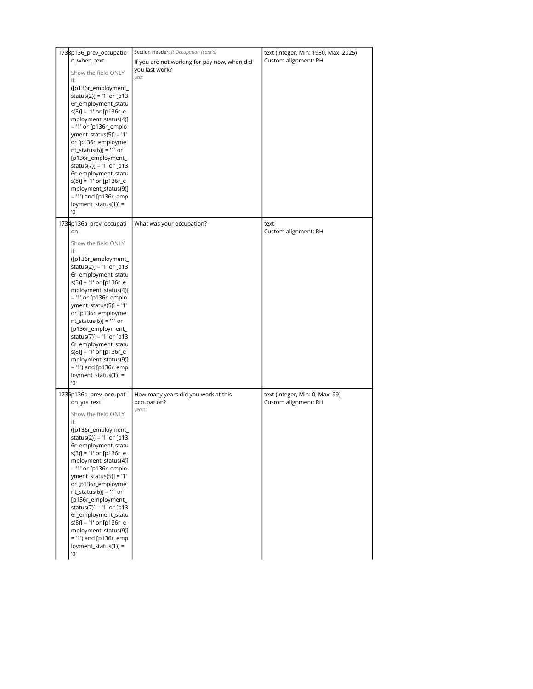| 173Bp136_prev_occupatio    | Section Header: P. Occupation (cont'd)       | text (integer, Min: 1930, Max: 2025) |
|----------------------------|----------------------------------------------|--------------------------------------|
| n_when_text                | If you are not working for pay now, when did | Custom alignment: RH                 |
|                            | you last work?                               |                                      |
| Show the field ONLY        | year                                         |                                      |
| if:                        |                                              |                                      |
| ([p136r_employment_        |                                              |                                      |
| status(2)] = '1' or [p13   |                                              |                                      |
| 6r_employment_statu        |                                              |                                      |
| $s(3)$ ] = '1' or [p136r_e |                                              |                                      |
| mployment_status(4)]       |                                              |                                      |
|                            |                                              |                                      |
| $=$ '1' or [p136r_emplo    |                                              |                                      |
| $yment\_status(5)] = '1'$  |                                              |                                      |
| or [p136r_employme         |                                              |                                      |
| $nt\_status(6)] = '1'$ or  |                                              |                                      |
| [p136r_employment_         |                                              |                                      |
| status(7)] = '1' or [p13   |                                              |                                      |
| 6r_employment_statu        |                                              |                                      |
| $s(8)$ ] = '1' or [p136r_e |                                              |                                      |
| mployment_status(9)]       |                                              |                                      |
|                            |                                              |                                      |
| = '1') and [p136r_emp      |                                              |                                      |
| $\log$ ment_status(1)] =   |                                              |                                      |
| '0'                        |                                              |                                      |
| 1734p136a_prev_occupati    | What was your occupation?                    | text                                 |
| on                         |                                              | Custom alignment: RH                 |
|                            |                                              |                                      |
| Show the field ONLY        |                                              |                                      |
| if:                        |                                              |                                      |
| ([p136r_employment_        |                                              |                                      |
| status(2)] = '1' or [p13   |                                              |                                      |
|                            |                                              |                                      |
| 6r_employment_statu        |                                              |                                      |
| $s(3)$ ] = '1' or [p136r_e |                                              |                                      |
| mployment_status(4)]       |                                              |                                      |
| = '1' or [p136r_emplo      |                                              |                                      |
| $yment\_status(5)] = '1'$  |                                              |                                      |
| or [p136r_employme         |                                              |                                      |
| $nt\_status(6)] = '1'$ or  |                                              |                                      |
| [p136r_employment_         |                                              |                                      |
| status(7)] = '1' or [p13   |                                              |                                      |
|                            |                                              |                                      |
| 6r_employment_statu        |                                              |                                      |
| $s(8)$ ] = '1' or [p136r_e |                                              |                                      |
| mployment_status(9)]       |                                              |                                      |
| = '1') and [p136r_emp      |                                              |                                      |
| loyment_status(1)] =       |                                              |                                      |
| '0'                        |                                              |                                      |
|                            |                                              |                                      |
| 1735p136b_prev_occupati    | How many years did you work at this          | text (integer, Min: 0, Max: 99)      |
| on_yrs_text                | occupation?                                  | Custom alignment: RH                 |
|                            | years                                        |                                      |
| Show the field ONLY        |                                              |                                      |
| if:                        |                                              |                                      |
| ([p136r_employment_        |                                              |                                      |
| status(2)] = '1' or [p13   |                                              |                                      |
| 6r_employment_statu        |                                              |                                      |
| $s(3)$ ] = '1' or [p136r_e |                                              |                                      |
| mployment_status(4)]       |                                              |                                      |
| = '1' or [p136r_emplo      |                                              |                                      |
| $yment\_status(5)] = '1'$  |                                              |                                      |
| or [p136r_employme         |                                              |                                      |
|                            |                                              |                                      |
| nt_status(6)] = '1' or     |                                              |                                      |
| [p136r_employment_         |                                              |                                      |
| status(7)] = '1' or [p13   |                                              |                                      |
| 6r_employment_statu        |                                              |                                      |
| $s(8)$ ] = '1' or [p136r_e |                                              |                                      |
| mployment_status(9)]       |                                              |                                      |
| = '1') and [p136r_emp      |                                              |                                      |
| loyment_status(1)] =       |                                              |                                      |
| '0'                        |                                              |                                      |
|                            |                                              |                                      |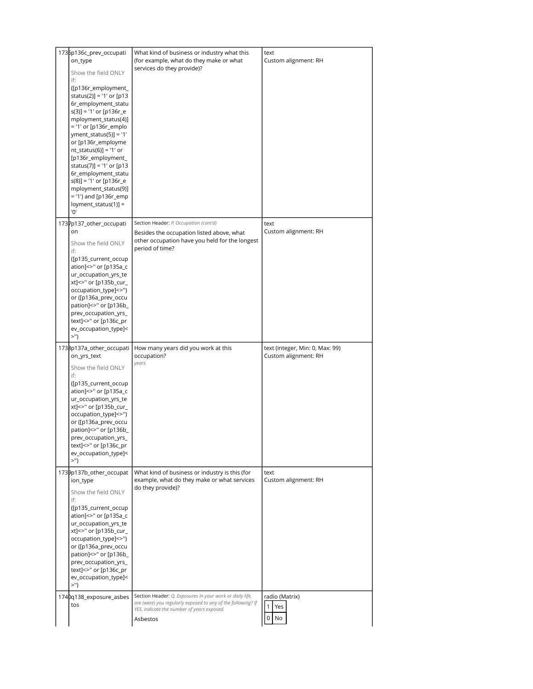| 1736p136c_prev_occupati<br>on_type<br>Show the field ONLY<br>if:<br>([p136r_employment_<br>status(2)] = '1' or [p13<br>6r_employment_statu<br>$s(3)$ ] = '1' or [p136r_e<br>mployment_status(4)]<br>= '1' or [p136r_emplo                                                                                                        | What kind of business or industry what this<br>(for example, what do they make or what<br>services do they provide)?                                                               | text<br>Custom alignment: RH                            |
|----------------------------------------------------------------------------------------------------------------------------------------------------------------------------------------------------------------------------------------------------------------------------------------------------------------------------------|------------------------------------------------------------------------------------------------------------------------------------------------------------------------------------|---------------------------------------------------------|
| $yment\_status(5)] = '1'$<br>or [p136r_employme<br>$nt\_status(6)] = '1'$ or<br>[p136r_employment_<br>status(7)] = '1' or [p13<br>6r_employment_statu<br>$s(8)$ ] = '1' or [p136r_e<br>mployment_status(9)]<br>= '1') and [p136r_emp<br>$\log$ ment_status(1)] =<br>'0'                                                          |                                                                                                                                                                                    |                                                         |
| 1737p137_other_occupati<br>on<br>Show the field ONLY<br>if:<br>([p135_current_occup<br>ation]<>" or [p135a_c<br>ur_occupation_yrs_te<br>xt]<>" or [p135b_cur_<br>occupation_type]<>")<br>or ([p136a_prev_occu<br>pation] <> " or [p136b_<br>prev_occupation_yrs_<br>text]<>" or [p136c_pr<br>ev_occupation_type]<<br>>")         | Section Header: P. Occupation (cont'd)<br>Besides the occupation listed above, what<br>other occupation have you held for the longest<br>period of time?                           | text<br>Custom alignment: RH                            |
| 1738p137a_other_occupati<br>on_yrs_text<br>Show the field ONLY<br>if:<br>([p135_current_occup<br>ation]<>" or [p135a_c<br>ur_occupation_yrs_te<br>xt]<>" or [p135b_cur_<br>occupation_type]<>")<br>or ([p136a_prev_occu<br>pation]<>" or [p136b_<br>prev_occupation_yrs_<br>text]<>" or [p136c_pr<br>ev_occupation_type]<<br>>") | How many years did you work at this<br>occupation?<br>vears                                                                                                                        | text (integer, Min: 0, Max: 99)<br>Custom alignment: RH |
| 1739p137b_other_occupat<br>ion_type<br>Show the field ONLY<br>if:<br>([p135_current_occup<br>ation]<>" or [p135a_c<br>ur_occupation_yrs_te<br>xt]<>" or [p135b_cur_<br>occupation_type]<>")<br>or ([p136a_prev_occu<br>pation]<>" or [p136b_<br>prev_occupation_yrs_<br>text]<>" or [p136c_pr<br>ev_occupation_type]<<br>>")     | What kind of business or industry is this (for<br>example, what do they make or what services<br>do they provide)?                                                                 | text<br>Custom alignment: RH                            |
| 1740q138_exposure_asbes<br>tos                                                                                                                                                                                                                                                                                                   | Section Header: Q. Exposures In your work or daily life,<br>are (were) you regularly exposed to any of the following? If<br>YES, indicate the number of years exposed.<br>Asbestos | radio (Matrix)<br>1<br>Yes<br>0<br>No                   |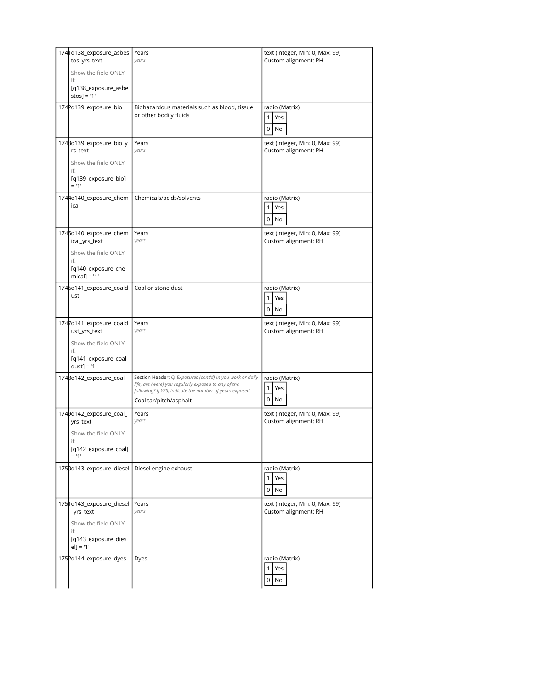| 1741q138_exposure_asbes<br>tos_yrs_text | Years<br>years                                                                                                                                                                 | text (integer, Min: 0, Max: 99)<br>Custom alignment: RH |
|-----------------------------------------|--------------------------------------------------------------------------------------------------------------------------------------------------------------------------------|---------------------------------------------------------|
| Show the field ONLY<br>if:              |                                                                                                                                                                                |                                                         |
| [q138_exposure_asbe<br>$stos$ ] = '1'   |                                                                                                                                                                                |                                                         |
| 1742q139_exposure_bio                   | Biohazardous materials such as blood, tissue<br>or other bodily fluids                                                                                                         | radio (Matrix)<br>$\mathbf{1}$<br>Yes                   |
|                                         |                                                                                                                                                                                | $\mathsf 0$<br>No                                       |
| 1748q139_exposure_bio_y<br>rs text      | Years<br>years                                                                                                                                                                 | text (integer, Min: 0, Max: 99)<br>Custom alignment: RH |
| Show the field ONLY<br>if:              |                                                                                                                                                                                |                                                         |
| [q139_exposure_bio]<br>$= 11'$          |                                                                                                                                                                                |                                                         |
| 1744q140_exposure_chem<br>ical          | Chemicals/acids/solvents                                                                                                                                                       | radio (Matrix)<br>1 <sup>1</sup><br>Yes                 |
|                                         |                                                                                                                                                                                | $0$ No                                                  |
| 1745q140_exposure_chem<br>ical_yrs_text | Years<br>vears                                                                                                                                                                 | text (integer, Min: 0, Max: 99)<br>Custom alignment: RH |
| Show the field ONLY<br>if:              |                                                                                                                                                                                |                                                         |
| [q140_exposure_che<br>$mical$ ] = '1'   |                                                                                                                                                                                |                                                         |
| 1746q141_exposure_coald<br>ust          | Coal or stone dust                                                                                                                                                             | radio (Matrix)<br>1<br>Yes                              |
|                                         |                                                                                                                                                                                | $\mathbf 0$<br><b>No</b>                                |
| 1747q141_exposure_coald<br>ust_yrs_text | Years<br>vears                                                                                                                                                                 | text (integer, Min: 0, Max: 99)<br>Custom alignment: RH |
|                                         |                                                                                                                                                                                |                                                         |
| Show the field ONLY<br>if:              |                                                                                                                                                                                |                                                         |
| [q141_exposure_coal<br>$dust$ ] = '1'   |                                                                                                                                                                                |                                                         |
| 1748q142_exposure_coal                  | Section Header: Q. Exposures (cont'd) In you work or daily<br>life, are (were) you regularly exposed to any of the<br>following? If YES, indicate the number of years exposed. | radio (Matrix)<br>$\mathbf{1}$<br>Yes                   |
|                                         | Coal tar/pitch/asphalt                                                                                                                                                         | $\overline{0}$<br>No                                    |
| 1749q142_exposure_coal_<br>yrs_text     | Years<br>years                                                                                                                                                                 | text (integer, Min: 0, Max: 99)<br>Custom alignment: RH |
| Show the field ONLY<br>if:              |                                                                                                                                                                                |                                                         |
| [q142_exposure_coal]<br>$= 11'$         |                                                                                                                                                                                |                                                         |
| 1750q143_exposure_diesel                | Diesel engine exhaust                                                                                                                                                          | radio (Matrix)                                          |
|                                         |                                                                                                                                                                                | $\mathbf{1}$<br>Yes<br>$\overline{0}$<br>No             |
| 1751q143_exposure_diesel<br>_yrs_text   | Years<br>years                                                                                                                                                                 | text (integer, Min: 0, Max: 99)<br>Custom alignment: RH |
| Show the field ONLY<br>if:              |                                                                                                                                                                                |                                                         |
| [q143_exposure_dies<br>$el] = '1'$      |                                                                                                                                                                                |                                                         |
| 1752q144_exposure_dyes                  | Dyes                                                                                                                                                                           | radio (Matrix)<br>$\mathbf{1}$<br>Yes                   |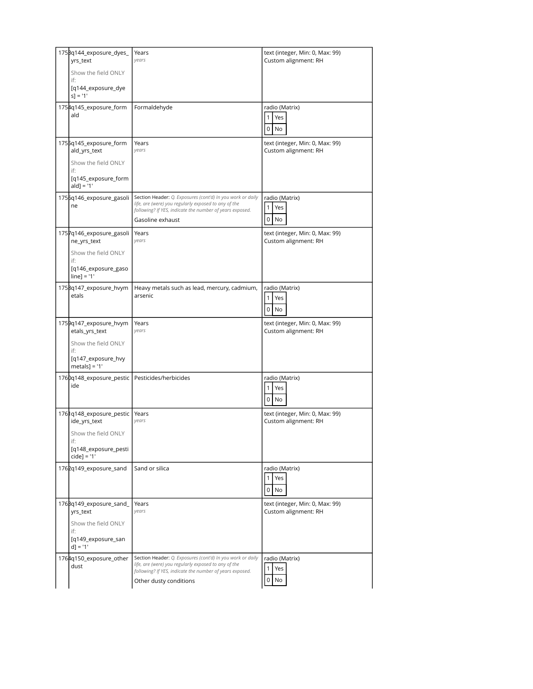| 175Bq144_exposure_dyes_<br>yrs_text            | Years<br>vears                                                                                                                             | text (integer, Min: 0, Max: 99)<br>Custom alignment: RH |
|------------------------------------------------|--------------------------------------------------------------------------------------------------------------------------------------------|---------------------------------------------------------|
| Show the field ONLY<br>if:                     |                                                                                                                                            |                                                         |
| [q144_exposure_dye<br>$s$ ] = '1'              |                                                                                                                                            |                                                         |
| 1754q145_exposure_form<br>ald                  | Formaldehyde                                                                                                                               | radio (Matrix)                                          |
|                                                |                                                                                                                                            | 1<br>Yes<br>$\mathsf 0$<br>No                           |
| 1755q145_exposure_form<br>ald_yrs_text         | Years<br>vears                                                                                                                             | text (integer, Min: 0, Max: 99)<br>Custom alignment: RH |
| Show the field ONLY<br>if:                     |                                                                                                                                            |                                                         |
| [q145_exposure_form<br>$ald] = '1'$            |                                                                                                                                            |                                                         |
| 1756q146_exposure_gasoli<br>ne                 | Section Header: Q. Exposures (cont'd) In you work or daily<br>life, are (were) you regularly exposed to any of the                         | radio (Matrix)<br>$\mathbf{1}$<br>Yes                   |
|                                                | following? If YES, indicate the number of years exposed.<br>Gasoline exhaust                                                               | $\overline{0}$<br>No                                    |
| 1757q146_exposure_gasoli                       | Years                                                                                                                                      | text (integer, Min: 0, Max: 99)                         |
| ne_yrs_text                                    | vears                                                                                                                                      | Custom alignment: RH                                    |
| Show the field ONLY<br>if:                     |                                                                                                                                            |                                                         |
| [q146_exposure_gaso<br>$line] = '1'$           |                                                                                                                                            |                                                         |
| 1758q147_exposure_hvym<br>etals                | Heavy metals such as lead, mercury, cadmium,<br>arsenic                                                                                    | radio (Matrix)                                          |
|                                                |                                                                                                                                            | $\mathbf{1}$<br>Yes<br>$\mathbf 0$<br>No                |
|                                                |                                                                                                                                            |                                                         |
| 1759q147_exposure_hvym                         | Years                                                                                                                                      | text (integer, Min: 0, Max: 99)                         |
| etals_yrs_text                                 | years                                                                                                                                      | Custom alignment: RH                                    |
| Show the field ONLY                            |                                                                                                                                            |                                                         |
| if:<br>[q147_exposure_hvy<br>$metals$ ] = '1'  |                                                                                                                                            |                                                         |
| 1760q148_exposure_pestic Pesticides/herbicides |                                                                                                                                            | radio (Matrix)                                          |
| ide                                            |                                                                                                                                            | 1<br>Yes                                                |
|                                                |                                                                                                                                            | $\mathbf 0$<br>No                                       |
| 1761q148_exposure_pestic<br>ide_yrs_text       | Years<br>years                                                                                                                             | text (integer, Min: 0, Max: 99)<br>Custom alignment: RH |
| Show the field ONLY                            |                                                                                                                                            |                                                         |
| if:<br>[q148_exposure_pesti<br>$cidel = '1'$   |                                                                                                                                            |                                                         |
| 1762q149 exposure sand                         | Sand or silica                                                                                                                             | radio (Matrix)                                          |
|                                                |                                                                                                                                            | Yes<br>$\mathbf{1}$<br>$0$ No                           |
| 176Bq149_exposure_sand_<br>yrs_text            | Years<br>vears                                                                                                                             | text (integer, Min: 0, Max: 99)<br>Custom alignment: RH |
| Show the field ONLY                            |                                                                                                                                            |                                                         |
| if:<br>[q149_exposure_san<br>$d$ ] = '1'       |                                                                                                                                            |                                                         |
| 1764q150_exposure_other                        | Section Header: Q. Exposures (cont'd) In you work or daily                                                                                 | radio (Matrix)                                          |
| dust                                           | life, are (were) you regularly exposed to any of the<br>following? If YES, indicate the number of years exposed.<br>Other dusty conditions | 1 <sup>1</sup><br>Yes<br>$\overline{0}$<br>No           |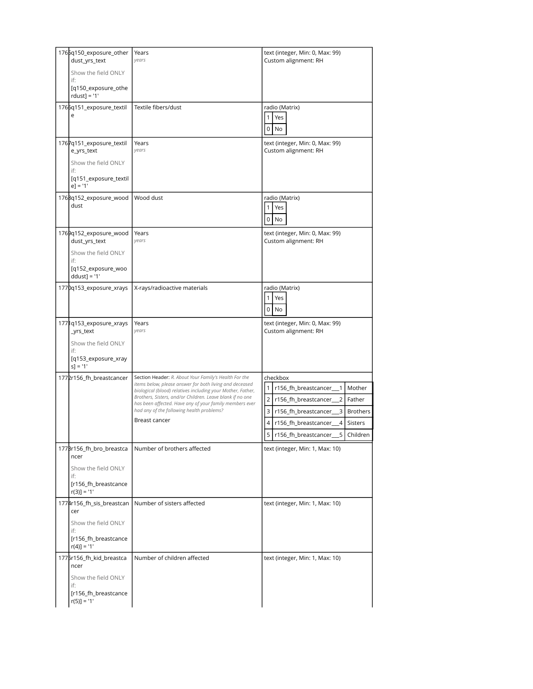| 1765q150_exposure_other<br>dust_yrs_text | Years<br>vears                                                                                                         | text (integer, Min: 0, Max: 99)<br>Custom alignment: RH         |
|------------------------------------------|------------------------------------------------------------------------------------------------------------------------|-----------------------------------------------------------------|
| Show the field ONLY<br>if:               |                                                                                                                        |                                                                 |
| [q150_exposure_othe<br>$rdust$ ] = '1'   |                                                                                                                        |                                                                 |
| 1766q151_exposure_textil                 | Textile fibers/dust                                                                                                    | radio (Matrix)                                                  |
| е                                        |                                                                                                                        | Yes<br>$\mathbf{1}$                                             |
|                                          |                                                                                                                        | 0<br>No                                                         |
| 1767q151_exposure_textil<br>e_yrs_text   | Years<br>years                                                                                                         | text (integer, Min: 0, Max: 99)<br>Custom alignment: RH         |
| Show the field ONLY<br>if:               |                                                                                                                        |                                                                 |
| [q151_exposure_textil<br>$e$ ] = '1'     |                                                                                                                        |                                                                 |
| 1768q152_exposure_wood                   | Wood dust                                                                                                              | radio (Matrix)                                                  |
| dust                                     |                                                                                                                        | $\mathbf{1}$<br>Yes                                             |
|                                          |                                                                                                                        | 0<br>No                                                         |
| 1769q152_exposure_wood<br>dust_yrs_text  | Years<br>vears                                                                                                         | text (integer, Min: 0, Max: 99)<br>Custom alignment: RH         |
| Show the field ONLY<br>if:               |                                                                                                                        |                                                                 |
| [q152_exposure_woo<br>$ddust$ ] = '1'    |                                                                                                                        |                                                                 |
| 1770q153_exposure_xrays                  | X-rays/radioactive materials                                                                                           | radio (Matrix)                                                  |
|                                          |                                                                                                                        | $\mathbf{1}$<br>Yes                                             |
|                                          |                                                                                                                        | 0<br>No                                                         |
| 1771q153_exposure_xrays<br>_yrs_text     | Years<br>years                                                                                                         | text (integer, Min: 0, Max: 99)<br>Custom alignment: RH         |
| Show the field ONLY<br>if:               |                                                                                                                        |                                                                 |
| [q153_exposure_xray<br>$s$ ] = '1'       |                                                                                                                        |                                                                 |
| 1772r156_fh_breastcancer                 | Section Header: R. About Your Family's Health For the                                                                  | checkbox                                                        |
|                                          | items below, please answer for both living and deceased<br>biological (blood) relatives including your Mother, Father, | $\mathbf{1}$<br>r156_fh_breastcancer_<br>$\mathbf{1}$<br>Mother |
|                                          | Brothers, Sisters, and/or Children. Leave blank if no one<br>has been affected. Have any of your family members ever   | $\overline{2}$<br>Father<br>r156_fh_breastcancer_<br>2          |
|                                          | had any of the following health problems?                                                                              | 3<br>3<br>r156_fh_breastcancer_<br><b>Brothers</b>              |
|                                          | Breast cancer                                                                                                          | 4<br>r156_fh_breastcancer_<br>$\overline{4}$<br>Sisters         |
|                                          |                                                                                                                        | 5<br>5<br>r156_fh_breastcancer_<br>Children                     |
| 177Br156_fh_bro_breastca<br>ncer         | Number of brothers affected                                                                                            | text (integer, Min: 1, Max: 10)                                 |
| Show the field ONLY<br>if:               |                                                                                                                        |                                                                 |
| [r156_fh_breastcance<br>$r(3)$ ] = '1'   |                                                                                                                        |                                                                 |
| 1774r156_fh_sis_breastcan<br>cer         | Number of sisters affected                                                                                             | text (integer, Min: 1, Max: 10)                                 |
| Show the field ONLY<br>if:               |                                                                                                                        |                                                                 |
| [r156_fh_breastcance<br>$r(4)$ ] = '1'   |                                                                                                                        |                                                                 |
| 1775r156_fh_kid_breastca<br>ncer         | Number of children affected                                                                                            | text (integer, Min: 1, Max: 10)                                 |
| Show the field ONLY<br>if:               |                                                                                                                        |                                                                 |
| [r156_fh_breastcance<br>$r(5)$ ] = '1'   |                                                                                                                        |                                                                 |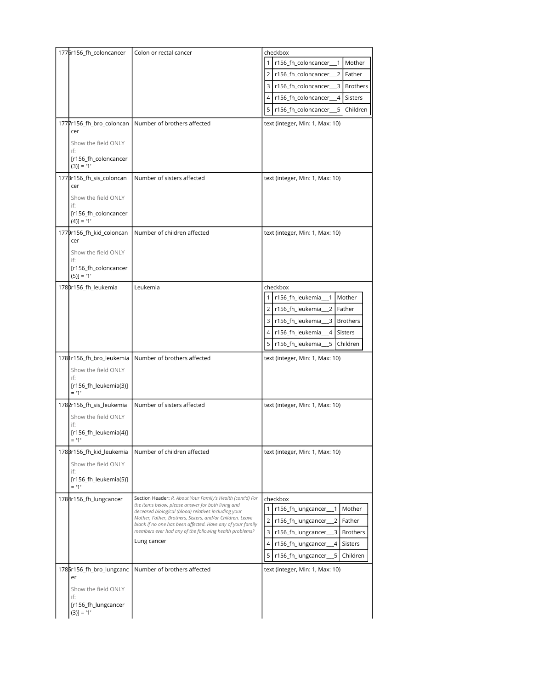| 1776r156_fh_coloncancer<br>1777r156_fh_bro_coloncan<br>cer                                             | Colon or rectal cancer<br>Number of brothers affected                                                                                                                                                                                                                                                                                                                        | checkbox<br>r156_fh_coloncancer_1<br>Mother<br>r156_fh_coloncancer__2<br>$\overline{2}$<br>Father<br>3<br>r156_fh_coloncancer__3<br><b>Brothers</b><br>r156_fh_coloncancer_<br>$\overline{4}$<br>Sisters<br>4<br>5<br>r156_fh_coloncancer_<br>5<br>Children<br>text (integer, Min: 1, Max: 10) |
|--------------------------------------------------------------------------------------------------------|------------------------------------------------------------------------------------------------------------------------------------------------------------------------------------------------------------------------------------------------------------------------------------------------------------------------------------------------------------------------------|------------------------------------------------------------------------------------------------------------------------------------------------------------------------------------------------------------------------------------------------------------------------------------------------|
| Show the field ONLY<br>if:<br>[r156_fh_coloncancer<br>$(3)] = '1'$                                     |                                                                                                                                                                                                                                                                                                                                                                              |                                                                                                                                                                                                                                                                                                |
| 1778r156_fh_sis_coloncan<br>cer<br>Show the field ONLY<br>if:<br>[r156_fh_coloncancer<br>$(4)$ ] = '1' | Number of sisters affected                                                                                                                                                                                                                                                                                                                                                   | text (integer, Min: 1, Max: 10)                                                                                                                                                                                                                                                                |
| 1779r156_fh_kid_coloncan<br>cer<br>Show the field ONLY<br>if:<br>[r156_fh_coloncancer<br>$(5)$ ] = '1' | Number of children affected                                                                                                                                                                                                                                                                                                                                                  | text (integer, Min: 1, Max: 10)                                                                                                                                                                                                                                                                |
| 1780r156_fh_leukemia                                                                                   | Leukemia                                                                                                                                                                                                                                                                                                                                                                     | checkbox<br>r156_fh_leukemia<br>Mother<br>1<br>2   r156_fh_leukemia<br>2 <sub>1</sub><br>Father<br>3<br>r156_fh_leukemia_<br>$\overline{\mathbf{3}}$<br><b>Brothers</b><br>4<br>r156_fh_leukemia<br>$\overline{4}$<br><b>Sisters</b><br>5<br>5<br>r156_fh_leukemia<br>Children                 |
| 1781r156_fh_bro_leukemia<br>Show the field ONLY<br>if:<br>[r156_fh_leukemia(3)]<br>$= 11$              | Number of brothers affected                                                                                                                                                                                                                                                                                                                                                  | text (integer, Min: 1, Max: 10)                                                                                                                                                                                                                                                                |
| 1782r156_fh_sis_leukemia<br>Show the field ONLY<br>if:<br>[r156 fh leukemia(4)]<br>$= 11'$             | Number of sisters affected                                                                                                                                                                                                                                                                                                                                                   | text (integer, Min: 1, Max: 10)                                                                                                                                                                                                                                                                |
| 178Br156_fh_kid_leukemia<br>Show the field ONLY<br>if:<br>[r156_fh_leukemia(5)]<br>$= 11'$             | Number of children affected                                                                                                                                                                                                                                                                                                                                                  | text (integer, Min: 1, Max: 10)                                                                                                                                                                                                                                                                |
| 1784r156_fh_lungcancer                                                                                 | Section Header: R. About Your Family's Health (cont'd) For<br>the items below, please answer for both living and<br>deceased biological (blood) relatives including your<br>Mother, Father, Brothers, Sisters, and/or Children. Leave<br>blank if no one has been affected. Have any of your family<br>members ever had any of the following health problems?<br>Lung cancer | checkbox<br>1<br>r156_fh_lungcancer_<br>$\mathbf{1}$<br>Mother<br>$\overline{2}$<br>2<br>Father<br>r156_fh_lungcancer<br>3<br>3<br>r156_fh_lungcancer<br><b>Brothers</b><br>4<br>Sisters<br>r156_fh_lungcancer<br>4<br>5<br>5<br>r156_fh_lungcancer<br>Children                                |
| 1785r156_fh_bro_lungcanc<br>er<br>Show the field ONLY<br>if:<br>[r156_fh_lungcancer<br>$(3)] = '1'$    | Number of brothers affected                                                                                                                                                                                                                                                                                                                                                  | text (integer, Min: 1, Max: 10)                                                                                                                                                                                                                                                                |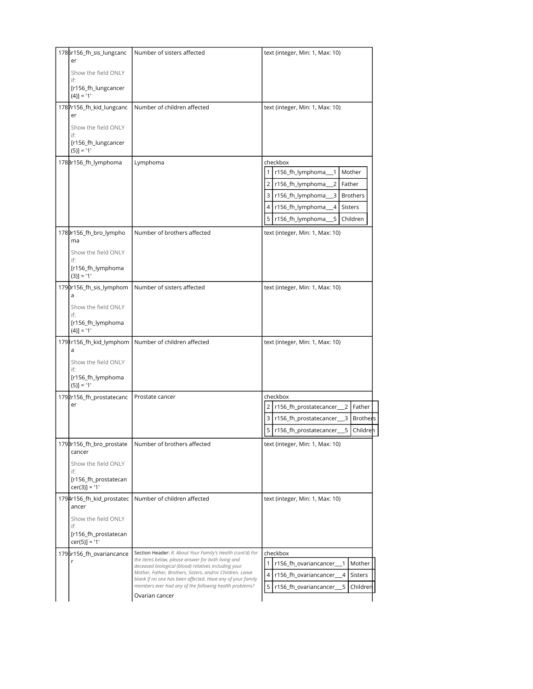| 1786r156_fh_sis_lungcanc                    | Number of sisters affected                                                                                           | text (integer, Min: 1, Max: 10)                                     |
|---------------------------------------------|----------------------------------------------------------------------------------------------------------------------|---------------------------------------------------------------------|
| er<br>Show the field ONLY                   |                                                                                                                      |                                                                     |
| if:                                         |                                                                                                                      |                                                                     |
| [r156_fh_lungcancer<br>$(4)] = '1'$         |                                                                                                                      |                                                                     |
| 1787r156_fh_kid_lungcanc<br>er              | Number of children affected                                                                                          | text (integer, Min: 1, Max: 10)                                     |
| Show the field ONLY                         |                                                                                                                      |                                                                     |
| if:                                         |                                                                                                                      |                                                                     |
| [r156_fh_lungcancer<br>$(5)$ ] = '1'        |                                                                                                                      |                                                                     |
| 1788r156_fh_lymphoma                        | Lymphoma                                                                                                             | checkbox                                                            |
|                                             |                                                                                                                      | r156_fh_lymphoma<br>Mother<br>1                                     |
|                                             |                                                                                                                      | r156_fh_lymphoma<br>2 <sup>1</sup><br>2<br>Father                   |
|                                             |                                                                                                                      | 3 r156_fh_lymphoma<br>3<br><b>Brothers</b>                          |
|                                             |                                                                                                                      | r156_fh_lymphoma<br>$\overline{a}$<br><b>Sisters</b>                |
|                                             |                                                                                                                      | 5<br>5<br>r156_fh_lymphoma<br>Children                              |
| 1789r156_fh_bro_lympho<br>ma                | Number of brothers affected                                                                                          | text (integer, Min: 1, Max: 10)                                     |
| Show the field ONLY                         |                                                                                                                      |                                                                     |
| if:<br>[r156_fh_lymphoma                    |                                                                                                                      |                                                                     |
| $(3)] = '1'$                                |                                                                                                                      |                                                                     |
| 1790r156_fh_sis_lymphom<br>a                | Number of sisters affected                                                                                           | text (integer, Min: 1, Max: 10)                                     |
| Show the field ONLY                         |                                                                                                                      |                                                                     |
| if:<br>[r156_fh_lymphoma<br>$(4)$ ] = '1'   |                                                                                                                      |                                                                     |
| 1791r156_fh_kid_lymphom                     | Number of children affected                                                                                          | text (integer, Min: 1, Max: 10)                                     |
| a                                           |                                                                                                                      |                                                                     |
| Show the field ONLY<br>if:                  |                                                                                                                      |                                                                     |
| [r156_fh_lymphoma                           |                                                                                                                      |                                                                     |
| $(5)$ ] = '1'                               |                                                                                                                      |                                                                     |
| 1792r156_fh_prostatecanc<br>er              | Prostate cancer                                                                                                      | checkbox<br>$\overline{2}$<br>r156_fh_prostatecancer<br>2<br>Father |
|                                             |                                                                                                                      | 3<br>r156_fh_prostatecancer_<br>3<br><b>Brothers</b>                |
|                                             |                                                                                                                      | 5 <sup>1</sup><br>r156_fh_prostatecancer_<br>5<br>Children          |
| 179Br156_fh_bro_prostate                    | Number of brothers affected                                                                                          | text (integer, Min: 1, Max: 10)                                     |
| cancer                                      |                                                                                                                      |                                                                     |
| Show the field ONLY<br>if:                  |                                                                                                                      |                                                                     |
| [r156_fh_prostatecan<br>$cer(3)] = '1'$     |                                                                                                                      |                                                                     |
| 1794r156_fh_kid_prostatec<br>ancer          | Number of children affected                                                                                          | text (integer, Min: 1, Max: 10)                                     |
| Show the field ONLY                         |                                                                                                                      |                                                                     |
| if:<br>[r156_fh_prostatecan                 |                                                                                                                      |                                                                     |
| $cer(5)] = '1'$<br>1795r156_fh_ovariancance | Section Header: R. About Your Family's Health (cont'd) For                                                           | checkbox                                                            |
| r                                           | the items below, please answer for both living and<br>deceased biological (blood) relatives including your           | r156_fh_ovariancancer_<br>1<br>Mother                               |
|                                             | Mother, Father, Brothers, Sisters, and/or Children. Leave                                                            | $\overline{4}$<br>r156_fh_ovariancancer_<br>4<br><b>Sisters</b>     |
|                                             | blank if no one has been affected. Have any of your family<br>members ever had any of the following health problems? | 5<br>r156_fh_ovariancancer_<br>5<br>Children                        |
|                                             | Ovarian cancer                                                                                                       |                                                                     |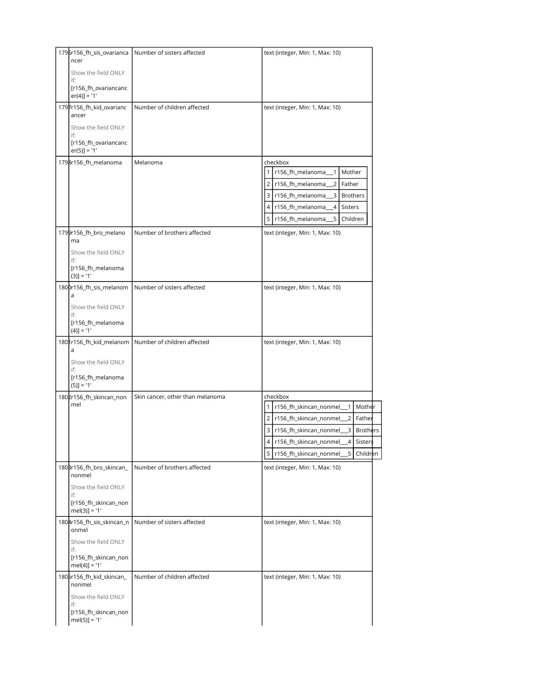| 1796r156_fh_sis_ovarianca                      | Number of sisters affected       | text (integer, Min: 1, Max: 10)                                   |
|------------------------------------------------|----------------------------------|-------------------------------------------------------------------|
| ncer<br>Show the field ONLY                    |                                  |                                                                   |
| if:                                            |                                  |                                                                   |
| [r156_fh_ovariancanc<br>$er(4)$ ] = '1'        |                                  |                                                                   |
| 1797r156_fh_kid_ovarianc<br>ancer              | Number of children affected      | text (integer, Min: 1, Max: 10)                                   |
| Show the field ONLY                            |                                  |                                                                   |
| if:<br>[r156_fh_ovariancanc<br>$er(5)$ ] = '1' |                                  |                                                                   |
| 1798r156_fh_melanoma                           | Melanoma                         | checkbox                                                          |
|                                                |                                  | r156_fh_melanoma<br>Mother                                        |
|                                                |                                  | $\overline{2}$<br>2<br>r156_fh_melanoma<br>Father                 |
|                                                |                                  | 3 r156_fh_melanoma_<br>$\overline{\mathbf{3}}$<br><b>Brothers</b> |
|                                                |                                  | $\overline{4}$<br>Sisters<br>4 r156_fh_melanoma_                  |
|                                                |                                  | $5 \mid$<br>5 r156_fh_melanoma<br>Children                        |
| 1799r156_fh_bro_melano<br>ma                   | Number of brothers affected      | text (integer, Min: 1, Max: 10)                                   |
| Show the field ONLY                            |                                  |                                                                   |
| if:<br>[r156_fh_melanoma                       |                                  |                                                                   |
| $(3)] = '1'$<br>1800r156_fh_sis_melanom        | Number of sisters affected       | text (integer, Min: 1, Max: 10)                                   |
| a                                              |                                  |                                                                   |
| Show the field ONLY<br>if:                     |                                  |                                                                   |
| [r156_fh_melanoma<br>$(4)$ ] = '1'             |                                  |                                                                   |
| 1801r156_fh_kid_melanom                        | Number of children affected      | text (integer, Min: 1, Max: 10)                                   |
| a<br>Show the field ONLY                       |                                  |                                                                   |
| if:<br>[r156_fh_melanoma<br>$(5)$ ] = '1'      |                                  |                                                                   |
| 1802r156_fh_skincan_non                        | Skin cancer, other than melanoma | checkbox                                                          |
| mel                                            |                                  | $\mathbf{1}$<br>r156_fh_skincan_nonmel_<br>Mother<br>$\mathbf{1}$ |
|                                                |                                  | $\overline{2}$<br>r156_fh_skincan_nonmel_<br>Father<br>2          |
|                                                |                                  | 3   r156_fh_skincan_nonmel_<br>3<br>Brothers                      |
|                                                |                                  | r156_fh_skincan_nonmel__4<br>Sisters<br>4                         |
|                                                |                                  | 5<br>r156_fh_skincan_nonmel_<br>5<br>Children                     |
| 180Br156_fh_bro_skincan_<br>nonmel             | Number of brothers affected      | text (integer, Min: 1, Max: 10)                                   |
| Show the field ONLY<br>if:                     |                                  |                                                                   |
| [r156_fh_skincan_non<br>$mel(3)] = '1'$        |                                  |                                                                   |
| 1804r156_fh_sis_skincan_n<br>onmel             | Number of sisters affected       | text (integer, Min: 1, Max: 10)                                   |
| Show the field ONLY<br>if:                     |                                  |                                                                   |
| [r156_fh_skincan_non<br>$mel(4)] = '1'$        |                                  |                                                                   |
| 1805r156_fh_kid_skincan_<br>nonmel             | Number of children affected      | text (integer, Min: 1, Max: 10)                                   |
| Show the field ONLY<br>if:                     |                                  |                                                                   |
|                                                |                                  |                                                                   |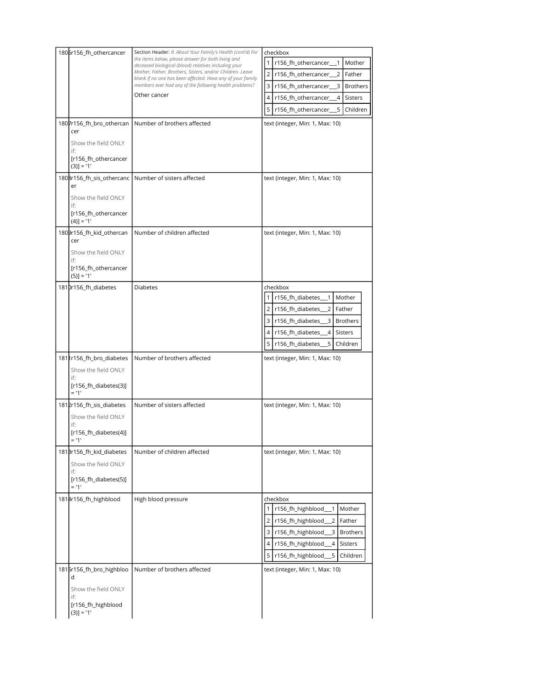| 1806r156_fh_othercancer<br>1807r156_fh_bro_othercan<br>cer<br>Show the field ONLY<br>if:<br>[r156_fh_othercancer         | Section Header: R. About Your Family's Health (cont'd) For<br>the items below, please answer for both living and<br>deceased biological (blood) relatives including your<br>Mother, Father, Brothers, Sisters, and/or Children. Leave<br>blank if no one has been affected. Have any of your family<br>members ever had any of the following health problems?<br>Other cancer<br>Number of brothers affected | checkbox<br>$\mathbf{1}$<br>r156_fh_othercancer_<br>Mother<br>$\mathbf{1}$<br>$\overline{2}$<br>r156_fh_othercancer_<br>2<br>Father<br>$\overline{\mathbf{3}}$<br>r156_fh_othercancer_<br>3<br><b>Brothers</b><br>$\overline{4}$<br>r156_fh_othercancer_<br>4<br><b>Sisters</b><br>5 <sup>1</sup><br>r156_fh_othercancer_<br>5<br>Children<br>text (integer, Min: 1, Max: 10) |
|--------------------------------------------------------------------------------------------------------------------------|--------------------------------------------------------------------------------------------------------------------------------------------------------------------------------------------------------------------------------------------------------------------------------------------------------------------------------------------------------------------------------------------------------------|-------------------------------------------------------------------------------------------------------------------------------------------------------------------------------------------------------------------------------------------------------------------------------------------------------------------------------------------------------------------------------|
| $(3)] = '1'$<br>1808r156_fh_sis_othercanc  <br>er<br>Show the field ONLY<br>if:<br>[r156_fh_othercancer<br>$(4)$ ] = '1' | Number of sisters affected                                                                                                                                                                                                                                                                                                                                                                                   | text (integer, Min: 1, Max: 10)                                                                                                                                                                                                                                                                                                                                               |
| 1809r156_fh_kid_othercan<br>cer<br>Show the field ONLY<br>if:<br>[r156_fh_othercancer<br>$(5)$ ] = '1'                   | Number of children affected                                                                                                                                                                                                                                                                                                                                                                                  | text (integer, Min: 1, Max: 10)                                                                                                                                                                                                                                                                                                                                               |
| 1810r156_fh_diabetes<br>181 156_fh_bro_diabetes                                                                          | <b>Diabetes</b><br>Number of brothers affected                                                                                                                                                                                                                                                                                                                                                               | checkbox<br>r156_fh_diabetes_<br>Mother<br>$\mathbf{1}$<br>2 r156_fh_diabetes_<br>2<br>Father<br>3 r156_fh_diabetes__3<br><b>Brothers</b><br>$4 \overline{ }$<br>r156_fh_diabetes_<br>4<br><b>Sisters</b><br>5<br>5 r156_fh_diabetes_<br>Children<br>text (integer, Min: 1, Max: 10)                                                                                          |
| Show the field ONLY<br>if:<br>[r156_fh_diabetes(3)]<br>$= 11'$                                                           |                                                                                                                                                                                                                                                                                                                                                                                                              |                                                                                                                                                                                                                                                                                                                                                                               |
| 1812r156_fh_sis_diabetes<br>Show the field ONLY<br>if:<br>[r156_fh_diabetes(4)]<br>$= 11'$                               | Number of sisters affected                                                                                                                                                                                                                                                                                                                                                                                   | text (integer, Min: 1, Max: 10)                                                                                                                                                                                                                                                                                                                                               |
| 181Br156_fh_kid_diabetes<br>Show the field ONLY<br>if:<br>[r156_fh_diabetes(5)]<br>$= 11'$                               | Number of children affected                                                                                                                                                                                                                                                                                                                                                                                  | text (integer, Min: 1, Max: 10)                                                                                                                                                                                                                                                                                                                                               |
| 1814r156_fh_highblood                                                                                                    | High blood pressure                                                                                                                                                                                                                                                                                                                                                                                          | checkbox<br>r156_fh_highblood_<br>$\mathbf{1}$<br>Mother<br>1<br>$\overline{2}$<br>$\overline{2}$<br>r156_fh_highblood<br>Father<br>$\overline{\mathbf{3}}$<br>3<br>r156_fh_highblood<br><b>Brothers</b><br>$\overline{4}$<br>r156_fh_highblood<br>Sisters<br>4<br>5<br>5<br>r156_fh_highblood<br>Children                                                                    |
| 1815r156_fh_bro_highbloo<br>d<br>Show the field ONLY<br>if:<br>[r156_fh_highblood<br>$(3)] = '1'$                        | Number of brothers affected                                                                                                                                                                                                                                                                                                                                                                                  | text (integer, Min: 1, Max: 10)                                                                                                                                                                                                                                                                                                                                               |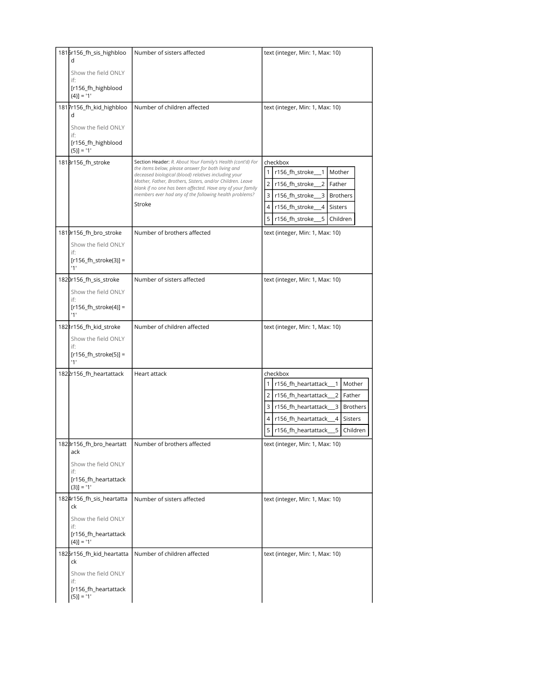| 1816r156_fh_sis_highbloo<br>d                | Number of sisters affected                                                                                                                                                        | text (integer, Min: 1, Max: 10)                                                                                            |
|----------------------------------------------|-----------------------------------------------------------------------------------------------------------------------------------------------------------------------------------|----------------------------------------------------------------------------------------------------------------------------|
| Show the field ONLY                          |                                                                                                                                                                                   |                                                                                                                            |
| if:<br>[r156_fh_highblood                    |                                                                                                                                                                                   |                                                                                                                            |
| $(4)$ ] = '1'                                |                                                                                                                                                                                   |                                                                                                                            |
| 1817r156_fh_kid_highbloo<br>d                | Number of children affected                                                                                                                                                       | text (integer, Min: 1, Max: 10)                                                                                            |
| Show the field ONLY<br>if:                   |                                                                                                                                                                                   |                                                                                                                            |
| [r156_fh_highblood<br>$(5)$ ] = '1'          |                                                                                                                                                                                   |                                                                                                                            |
| 1818r156_fh_stroke                           | Section Header: R. About Your Family's Health (cont'd) For<br>the items below, please answer for both living and                                                                  | checkbox                                                                                                                   |
|                                              | deceased biological (blood) relatives including your                                                                                                                              | 1<br>r156_fh_stroke<br>Mother<br>1                                                                                         |
|                                              | Mother, Father, Brothers, Sisters, and/or Children. Leave<br>blank if no one has been affected. Have any of your family<br>members ever had any of the following health problems? | 2 <sup>1</sup><br>r156_fh_stroke<br>2<br>Father                                                                            |
|                                              | Stroke                                                                                                                                                                            | $\overline{\mathbf{3}}$<br>r156_fh_stroke_<br>3<br><b>Brothers</b><br>$\sqrt{4}$<br>r156_fh_stroke_<br>4<br><b>Sisters</b> |
|                                              |                                                                                                                                                                                   | 5 r156_fh_stroke_<br>5<br>Children                                                                                         |
| 1819r156_fh_bro_stroke                       | Number of brothers affected                                                                                                                                                       | text (integer, Min: 1, Max: 10)                                                                                            |
| Show the field ONLY                          |                                                                                                                                                                                   |                                                                                                                            |
| if:<br>$[r156_fh_{stroke(3)}]$ =             |                                                                                                                                                                                   |                                                                                                                            |
| '1'                                          |                                                                                                                                                                                   |                                                                                                                            |
| 1820r156_fh_sis_stroke                       | Number of sisters affected                                                                                                                                                        | text (integer, Min: 1, Max: 10)                                                                                            |
| Show the field ONLY<br>if:                   |                                                                                                                                                                                   |                                                                                                                            |
| $[r156_fh_stroke(4)] =$<br>'1'               |                                                                                                                                                                                   |                                                                                                                            |
| 182 Ir156_fh_kid_stroke                      | Number of children affected                                                                                                                                                       | text (integer, Min: 1, Max: 10)                                                                                            |
| Show the field ONLY<br>if:                   |                                                                                                                                                                                   |                                                                                                                            |
| $[r156_fh_{\text{stroke}}(5)] =$<br>'1'      |                                                                                                                                                                                   |                                                                                                                            |
| 1822r156_fh_heartattack                      | Heart attack                                                                                                                                                                      | checkbox                                                                                                                   |
|                                              |                                                                                                                                                                                   | r156_fh_heartattack__1<br>Mother                                                                                           |
|                                              |                                                                                                                                                                                   | 2<br>r156_fh_heartattack___2<br>Father<br>$\overline{\mathbf{3}}$<br>r156_fh_heartattack___3<br>Brothers                   |
|                                              |                                                                                                                                                                                   | 4 <sup>1</sup><br>r156_fh_heartattack_<br>$\overline{4}$<br>Sisters                                                        |
|                                              |                                                                                                                                                                                   | 5<br>r156_fh_heartattack<br>5<br>Children                                                                                  |
| 182Br156_fh_bro_heartatt<br>ack              | Number of brothers affected                                                                                                                                                       | text (integer, Min: 1, Max: 10)                                                                                            |
| Show the field ONLY<br>if:                   |                                                                                                                                                                                   |                                                                                                                            |
| [r156_fh_heartattack<br>$(3)] = '1'$         |                                                                                                                                                                                   |                                                                                                                            |
| 1824r156_fh_sis_heartatta<br>ck              | Number of sisters affected                                                                                                                                                        | text (integer, Min: 1, Max: 10)                                                                                            |
| Show the field ONLY                          |                                                                                                                                                                                   |                                                                                                                            |
| if:<br>[r156_fh_heartattack<br>$(4)$ ] = '1' |                                                                                                                                                                                   |                                                                                                                            |
| 1825r156_fh_kid_heartatta<br>ck              | Number of children affected                                                                                                                                                       | text (integer, Min: 1, Max: 10)                                                                                            |
| Show the field ONLY<br>if:                   |                                                                                                                                                                                   |                                                                                                                            |
| [r156_fh_heartattack<br>$(5)$ ] = '1'        |                                                                                                                                                                                   |                                                                                                                            |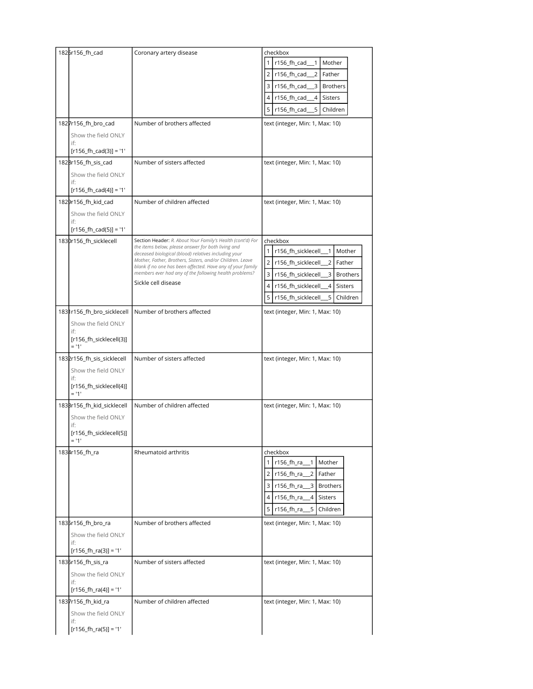| 1825r156_fh_cad                    | Coronary artery disease                                                                                                 | checkbox                                                        |
|------------------------------------|-------------------------------------------------------------------------------------------------------------------------|-----------------------------------------------------------------|
|                                    |                                                                                                                         | 1<br>r156_fh_cad_<br>Mother<br>$\overline{1}$                   |
|                                    |                                                                                                                         | $\overline{2}$<br>r156_fh_cad<br>2<br>Father                    |
|                                    |                                                                                                                         | 3 <sup>1</sup><br>3<br>r156_fh_cad_<br><b>Brothers</b>          |
|                                    |                                                                                                                         | 4<br>r156_fh_cad<br>4<br><b>Sisters</b>                         |
|                                    |                                                                                                                         | 5<br>5<br>r156_fh_cad<br>Children                               |
| 1827r156_fh_bro_cad                | Number of brothers affected                                                                                             | text (integer, Min: 1, Max: 10)                                 |
| Show the field ONLY                |                                                                                                                         |                                                                 |
| if:<br>$[r156_fh_{cad}(3)] = '1'$  |                                                                                                                         |                                                                 |
| 1828r156_fh_sis_cad                | Number of sisters affected                                                                                              | text (integer, Min: 1, Max: 10)                                 |
| Show the field ONLY                |                                                                                                                         |                                                                 |
| if:                                |                                                                                                                         |                                                                 |
| $[r156_fh_{cad}(4)] = '1'$         |                                                                                                                         |                                                                 |
| 1829r156_fh_kid_cad                | Number of children affected                                                                                             | text (integer, Min: 1, Max: 10)                                 |
| Show the field ONLY<br>if:         |                                                                                                                         |                                                                 |
| $[r156_fh_{cad}(5)] = '1'$         |                                                                                                                         |                                                                 |
| 1830r156_fh_sicklecell             | Section Header: R. About Your Family's Health (cont'd) For                                                              | checkbox                                                        |
|                                    | the items below, please answer for both living and<br>deceased biological (blood) relatives including your              | $\mathbf{1}$<br>Mother<br>r156_fh_sicklecell_<br>$\overline{1}$ |
|                                    | Mother, Father, Brothers, Sisters, and/or Children. Leave<br>blank if no one has been affected. Have any of your family | 2<br>r156_fh_sicklecell_<br>$\overline{2}$<br>Father            |
|                                    | members ever had any of the following health problems?                                                                  | 3<br>3<br><b>Brothers</b><br>r156_fh_sicklecell_                |
|                                    | Sickle cell disease                                                                                                     | 4<br>r156_fh_sicklecell<br>4<br><b>Sisters</b>                  |
|                                    |                                                                                                                         | 5<br>r156_fh_sicklecell<br>5<br>Children                        |
| 1831r156_fh_bro_sicklecell         | Number of brothers affected                                                                                             | text (integer, Min: 1, Max: 10)                                 |
| Show the field ONLY                |                                                                                                                         |                                                                 |
| if:                                |                                                                                                                         |                                                                 |
| [r156_fh_sicklecell(3)]<br>$= 11'$ |                                                                                                                         |                                                                 |
| 1832r156_fh_sis_sicklecell         | Number of sisters affected                                                                                              | text (integer, Min: 1, Max: 10)                                 |
| Show the field ONLY                |                                                                                                                         |                                                                 |
| if:<br>[r156_fh_sicklecell(4)]     |                                                                                                                         |                                                                 |
| $= 11'$                            |                                                                                                                         |                                                                 |
| 183Br156_fh_kid_sicklecell         | Number of children affected                                                                                             | text (integer, Min: 1, Max: 10)                                 |
| Show the field ONLY                |                                                                                                                         |                                                                 |
| if:<br>[r156_fh_sicklecell(5)]     |                                                                                                                         |                                                                 |
| $= 11$                             |                                                                                                                         |                                                                 |
| 1834r156_fh_ra                     | Rheumatoid arthritis                                                                                                    | checkbox                                                        |
|                                    |                                                                                                                         | r156_fh_ra_<br>$\overline{1}$<br>Mother<br>1                    |
|                                    |                                                                                                                         | 2 r156_fh_ra_<br>2<br>Father                                    |
|                                    |                                                                                                                         | $\overline{\mathbf{3}}$<br>3 r156_fh_ra<br><b>Brothers</b>      |
|                                    |                                                                                                                         | 4 r156_fh_ra_<br>4<br>Sisters                                   |
|                                    |                                                                                                                         | 5<br>r156_fh_ra___5<br>Children                                 |
| 1835r156_fh_bro_ra                 | Number of brothers affected                                                                                             | text (integer, Min: 1, Max: 10)                                 |
| Show the field ONLY                |                                                                                                                         |                                                                 |
| if:                                |                                                                                                                         |                                                                 |
| $[r156_fh-ra(3)] = '1'$            |                                                                                                                         |                                                                 |
| 1836r156_fh_sis_ra                 | Number of sisters affected                                                                                              | text (integer, Min: 1, Max: 10)                                 |
| Show the field ONLY<br>if:         |                                                                                                                         |                                                                 |
| $[r156_fh-ra(4)] = '1'$            |                                                                                                                         |                                                                 |
| 1837r156_fh_kid_ra                 | Number of children affected                                                                                             | text (integer, Min: 1, Max: 10)                                 |
| Show the field ONLY                |                                                                                                                         |                                                                 |
| if:<br>$[r156_fh-ra(5)] = '1'$     |                                                                                                                         |                                                                 |
|                                    |                                                                                                                         |                                                                 |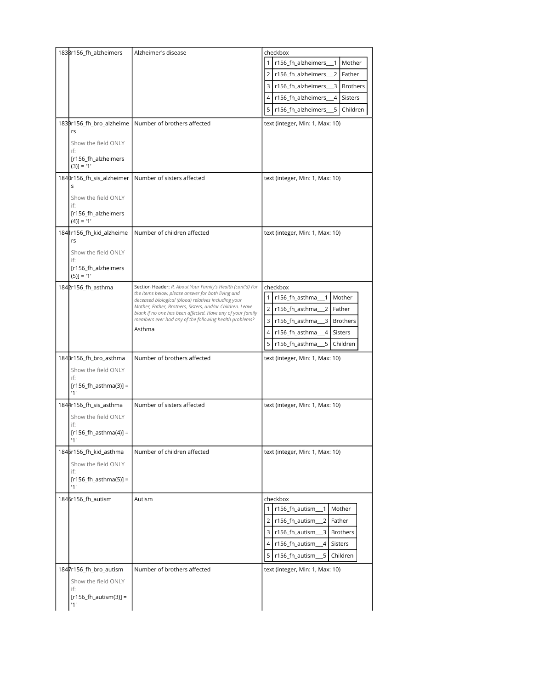|           | 1838r156_fh_alzheimers                                                                   | Alzheimer's disease                                                                                                                                                                                                                                                                                                                                                     | checkbox<br>r156_fh_alzheimers__1<br>Mother<br>Father<br>2<br>r156_fh_alzheimers_<br>2<br>3<br>$\overline{\mathbf{3}}$<br>r156_fh_alzheimers_<br><b>Brothers</b><br>4<br>r156_fh_alzheimers<br>$\overline{4}$<br><b>Sisters</b><br>5<br>5<br>r156_fh_alzheimers<br>Children               |
|-----------|------------------------------------------------------------------------------------------|-------------------------------------------------------------------------------------------------------------------------------------------------------------------------------------------------------------------------------------------------------------------------------------------------------------------------------------------------------------------------|-------------------------------------------------------------------------------------------------------------------------------------------------------------------------------------------------------------------------------------------------------------------------------------------|
| rs<br>if: | 1839r156_fh_bro_alzheime<br>Show the field ONLY<br>[r156_fh_alzheimers<br>$(3)$ ] = '1'  | Number of brothers affected                                                                                                                                                                                                                                                                                                                                             | text (integer, Min: 1, Max: 10)                                                                                                                                                                                                                                                           |
| S<br>if:  | 1840r156_fh_sis_alzheimer<br>Show the field ONLY<br>[r156_fh_alzheimers<br>$(4)$ ] = '1' | Number of sisters affected                                                                                                                                                                                                                                                                                                                                              | text (integer, Min: 1, Max: 10)                                                                                                                                                                                                                                                           |
| rs<br>if: | 1841r156_fh_kid_alzheime<br>Show the field ONLY<br>[r156_fh_alzheimers<br>$(5)$ ] = '1'  | Number of children affected                                                                                                                                                                                                                                                                                                                                             | text (integer, Min: 1, Max: 10)                                                                                                                                                                                                                                                           |
|           | 1842r156_fh_asthma                                                                       | Section Header: R. About Your Family's Health (cont'd) For<br>the items below, please answer for both living and<br>deceased biological (blood) relatives including your<br>Mother, Father, Brothers, Sisters, and/or Children. Leave<br>blank if no one has been affected. Have any of your family<br>members ever had any of the following health problems?<br>Asthma | checkbox<br>$\mathbf{1}$<br>r156_fh_asthma<br>Mother<br>1<br>$\overline{2}$<br>2 <sub>1</sub><br>r156_fh_asthma<br>Father<br>3<br>$\overline{3}$<br>r156_fh_asthma_<br><b>Brothers</b><br>4<br>$\overline{4}$<br>r156_fh_asthma<br><b>Sisters</b><br>5<br>5<br>r156_fh_asthma<br>Children |
| if:       | 184Br156_fh_bro_asthma<br>Show the field ONLY<br>$[r156_fh_asthm(a)] =$<br>'1'           | Number of brothers affected                                                                                                                                                                                                                                                                                                                                             | text (integer, Min: 1, Max: 10)                                                                                                                                                                                                                                                           |
| if:       | 1844r156_fh_sis_asthma<br>Show the field ONLY<br>$[r156_fh_asthm(a)] =$<br>'1'           | Number of sisters affected                                                                                                                                                                                                                                                                                                                                              | text (integer, Min: 1, Max: 10)                                                                                                                                                                                                                                                           |
| if:       | 1845r156_fh_kid_asthma<br>Show the field ONLY<br>$[r156_fh_asthm(a(5)] =$<br>'1'         | Number of children affected                                                                                                                                                                                                                                                                                                                                             | text (integer, Min: 1, Max: 10)                                                                                                                                                                                                                                                           |
|           | 1846r156_fh_autism                                                                       | Autism                                                                                                                                                                                                                                                                                                                                                                  | checkbox<br>r156 fh autism<br>$\overline{1}$<br>Mother<br>1<br>2<br>r156_fh_autism<br>2<br>Father<br>3<br>3<br>r156_fh_autism_<br><b>Brothers</b><br>4<br>r156_fh_autism<br>4<br>Sisters<br>5<br>r156_fh_autism<br>5<br>Children                                                          |
| if:       | 1847r156_fh_bro_autism<br>Show the field ONLY<br>$[r156_fh_autism(3)] =$<br>'1'          | Number of brothers affected                                                                                                                                                                                                                                                                                                                                             | text (integer, Min: 1, Max: 10)                                                                                                                                                                                                                                                           |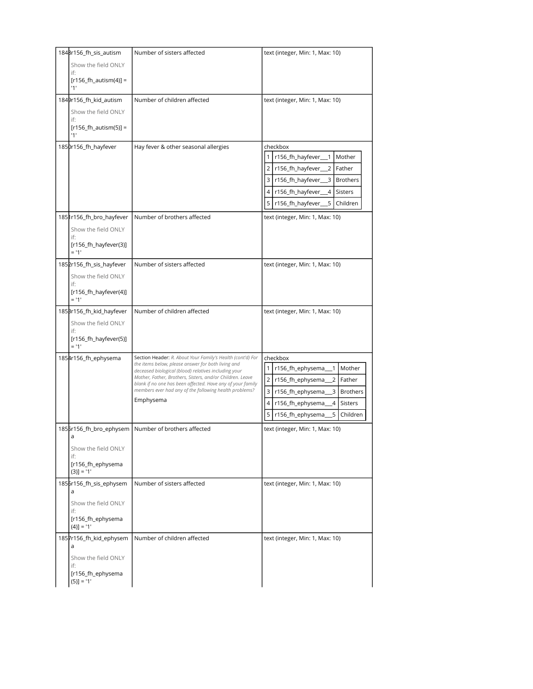| 1848r156_fh_sis_autism                   | Number of sisters affected                                                                                              | text (integer, Min: 1, Max: 10)                                 |
|------------------------------------------|-------------------------------------------------------------------------------------------------------------------------|-----------------------------------------------------------------|
| Show the field ONLY                      |                                                                                                                         |                                                                 |
| if:<br>$[r156_fh_autism(4)] =$<br>'1'    |                                                                                                                         |                                                                 |
| 1849r156_fh_kid_autism                   | Number of children affected                                                                                             | text (integer, Min: 1, Max: 10)                                 |
| Show the field ONLY                      |                                                                                                                         |                                                                 |
| if:<br>$[r156_fh_autism(5)] =$           |                                                                                                                         |                                                                 |
| '1'                                      |                                                                                                                         |                                                                 |
| 1850r156_fh_hayfever                     | Hay fever & other seasonal allergies                                                                                    | checkbox                                                        |
|                                          |                                                                                                                         | r156_fh_hayfever_<br>Mother<br>1<br>$\mathbf{1}$                |
|                                          |                                                                                                                         | $\overline{2}$<br>Father<br>r156_fh_hayfever_<br>$\overline{2}$ |
|                                          |                                                                                                                         | 3<br>r156_fh_hayfever_<br><b>Brothers</b><br>3                  |
|                                          |                                                                                                                         | Sisters<br>4<br>r156_fh_hayfever_<br>4                          |
|                                          |                                                                                                                         | 5<br>5<br>Children<br>r156_fh_hayfever_                         |
| 1851r156_fh_bro_hayfever                 | Number of brothers affected                                                                                             | text (integer, Min: 1, Max: 10)                                 |
| Show the field ONLY<br>if:               |                                                                                                                         |                                                                 |
| [r156_fh_hayfever(3)]<br>$= 11$          |                                                                                                                         |                                                                 |
| 1852r156_fh_sis_hayfever                 | Number of sisters affected                                                                                              | text (integer, Min: 1, Max: 10)                                 |
| Show the field ONLY                      |                                                                                                                         |                                                                 |
| if:<br>[r156_fh_hayfever(4)]             |                                                                                                                         |                                                                 |
| $= 11'$                                  |                                                                                                                         |                                                                 |
| 185Br156_fh_kid_hayfever                 | Number of children affected                                                                                             | text (integer, Min: 1, Max: 10)                                 |
| Show the field ONLY<br>if:               |                                                                                                                         |                                                                 |
| [r156_fh_hayfever(5)]<br>$= 11$          |                                                                                                                         |                                                                 |
| 1854r156_fh_ephysema                     | Section Header: R. About Your Family's Health (cont'd) For                                                              | checkbox                                                        |
|                                          | the items below, please answer for both living and<br>deceased biological (blood) relatives including your              | $\mathbf{1}$<br>r156_fh_ephysema_<br>$\overline{1}$<br>Mother   |
|                                          | Mother, Father, Brothers, Sisters, and/or Children. Leave<br>blank if no one has been affected. Have any of your family | $\overline{2}$<br>2<br>Father<br>r156_fh_ephysema_              |
|                                          | members ever had any of the following health problems?                                                                  | 3<br>3<br>r156_fh_ephysema<br><b>Brothers</b>                   |
|                                          | Emphysema                                                                                                               | 4<br>r156_fh_ephysema<br>4<br>Sisters                           |
|                                          |                                                                                                                         | 5<br>5<br>r156_fh_ephysema_<br>Children                         |
| 1855r156_fh_bro_ephysem  <br>d           | Number of brothers affected                                                                                             | text (integer, Min: 1, Max: 10)                                 |
| Show the field ONLY<br>if:               |                                                                                                                         |                                                                 |
| [r156_fh_ephysema<br>$(3)] = '1'$        |                                                                                                                         |                                                                 |
| 1856r156_fh_sis_ephysem<br>a             | Number of sisters affected                                                                                              | text (integer, Min: 1, Max: 10)                                 |
| Show the field ONLY                      |                                                                                                                         |                                                                 |
| if:<br>[r156_fh_ephysema<br>$(4)] = '1'$ |                                                                                                                         |                                                                 |
| 1857r156_fh_kid_ephysem<br>a             | Number of children affected                                                                                             | text (integer, Min: 1, Max: 10)                                 |
| Show the field ONLY<br>if:               |                                                                                                                         |                                                                 |
| [r156_fh_ephysema<br>$(5)$ ] = '1'       |                                                                                                                         |                                                                 |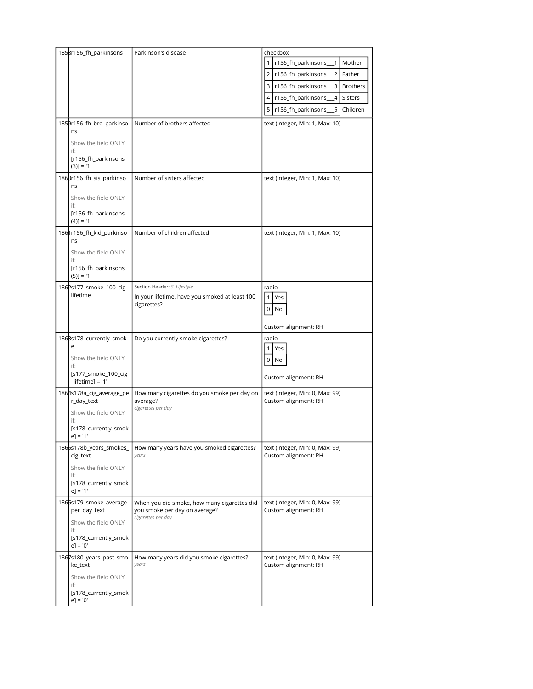| 1858r156_fh_parkinsons                      | Parkinson's disease                                     | checkbox<br>r156_fh_parkinsons_<br>Mother<br>$\mathbf{1}$        |
|---------------------------------------------|---------------------------------------------------------|------------------------------------------------------------------|
|                                             |                                                         | $\overline{2}$<br>r156_fh_parkinsons<br>$\overline{2}$<br>Father |
|                                             |                                                         | $\overline{3}$<br>3 r156_fh_parkinsons_<br><b>Brothers</b>       |
|                                             |                                                         |                                                                  |
|                                             |                                                         | 4 r156_fh_parkinsons<br>$\overline{4}$<br><b>Sisters</b>         |
|                                             |                                                         | 5 r156_fh_parkinsons_<br>5<br>Children                           |
| 1859r156_fh_bro_parkinso<br>ns              | Number of brothers affected                             | text (integer, Min: 1, Max: 10)                                  |
| Show the field ONLY<br>if:                  |                                                         |                                                                  |
| [r156_fh_parkinsons<br>$(3)] = '1'$         |                                                         |                                                                  |
| 1860r156_fh_sis_parkinso<br>ns              | Number of sisters affected                              | text (integer, Min: 1, Max: 10)                                  |
| Show the field ONLY                         |                                                         |                                                                  |
| if:<br>[r156_fh_parkinsons<br>$(4)$ ] = '1' |                                                         |                                                                  |
| 1861r156_fh_kid_parkinso<br>ns              | Number of children affected                             | text (integer, Min: 1, Max: 10)                                  |
| Show the field ONLY<br>if:                  |                                                         |                                                                  |
| [r156_fh_parkinsons<br>$(5)$ ] = '1'        |                                                         |                                                                  |
| 1862s177_smoke_100_cig_                     | Section Header: S. Lifestyle                            | radio                                                            |
| lifetime                                    | In your lifetime, have you smoked at least 100          | $\mathbf{1}$<br>Yes                                              |
|                                             | cigarettes?                                             | $0$ No                                                           |
|                                             |                                                         | Custom alignment: RH                                             |
| 186Bs178_currently_smok                     | Do you currently smoke cigarettes?                      | radio                                                            |
| e                                           |                                                         | 1<br>Yes                                                         |
| Show the field ONLY                         |                                                         | 0<br>No                                                          |
| if:<br>[s177_smoke_100_cig                  |                                                         |                                                                  |
| $[ifetime] = '1'$                           |                                                         | Custom alignment: RH                                             |
| 1864s178a_cig_average_pe<br>r_day_text      | How many cigarettes do you smoke per day on<br>average? | text (integer, Min: 0, Max: 99)<br>Custom alignment: RH          |
| Show the field ONLY                         | cigarettes per day                                      |                                                                  |
| if:<br>[s178_currently_smok                 |                                                         |                                                                  |
| $e$ ] = '1'                                 |                                                         |                                                                  |
| 1865s178b_years_smokes_<br>cig_text         | How many years have you smoked cigarettes?<br>years     | text (integer, Min: 0, Max: 99)<br>Custom alignment: RH          |
| Show the field ONLY<br>if:                  |                                                         |                                                                  |
| [s178_currently_smok<br>$e$ ] = '1'         |                                                         |                                                                  |
| 1866s179_smoke_average_                     | When you did smoke, how many cigarettes did             | text (integer, Min: 0, Max: 99)                                  |
| per_day_text                                | you smoke per day on average?<br>cigarettes per day     | Custom alignment: RH                                             |
| Show the field ONLY<br>if:                  |                                                         |                                                                  |
| [s178_currently_smok<br>$e$ ] = '0'         |                                                         |                                                                  |
| 1867s180_years_past_smo<br>ke_text          | How many years did you smoke cigarettes?<br>years       | text (integer, Min: 0, Max: 99)<br>Custom alignment: RH          |
| Show the field ONLY                         |                                                         |                                                                  |
| if:<br>[s178_currently_smok<br>$e$ ] = '0'  |                                                         |                                                                  |
|                                             |                                                         |                                                                  |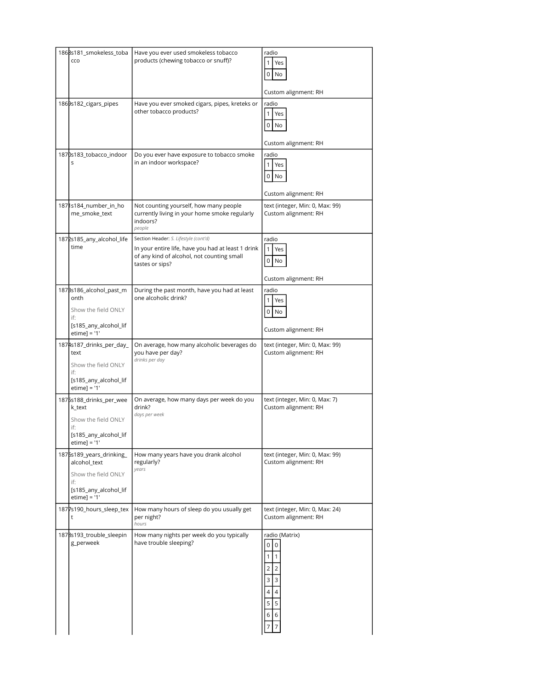| 1868s181_smokeless_toba<br>cco                                                                                     | Have you ever used smokeless tobacco<br>products (chewing tobacco or snuff)?                                                                                 | radio<br>$\mathbf{1}$<br>Yes<br>0<br>No<br>Custom alignment: RH                                                                                                     |
|--------------------------------------------------------------------------------------------------------------------|--------------------------------------------------------------------------------------------------------------------------------------------------------------|---------------------------------------------------------------------------------------------------------------------------------------------------------------------|
| 1869s182_cigars_pipes                                                                                              | Have you ever smoked cigars, pipes, kreteks or<br>other tobacco products?                                                                                    | radio<br>$\mathbf{1}$<br>Yes<br>0<br>No<br>Custom alignment: RH                                                                                                     |
| 1870s183_tobacco_indoor<br>S                                                                                       | Do you ever have exposure to tobacco smoke<br>in an indoor workspace?                                                                                        | radio<br>$\mathbf{1}$<br>Yes<br>0<br>No<br>Custom alignment: RH                                                                                                     |
| 187 s184_number_in_ho<br>me_smoke_text                                                                             | Not counting yourself, how many people<br>currently living in your home smoke regularly<br>indoors?<br>people                                                | text (integer, Min: 0, Max: 99)<br>Custom alignment: RH                                                                                                             |
| 1872s185_any_alcohol_life<br>time                                                                                  | Section Header: S. Lifestyle (cont'd)<br>In your entire life, have you had at least 1 drink<br>of any kind of alcohol, not counting small<br>tastes or sips? | radio<br>$\mathbf{1}$<br>Yes<br>0<br>No<br>Custom alignment: RH                                                                                                     |
| 187Bs186_alcohol_past_m<br>onth<br>Show the field ONLY<br>if:<br>[s185_any_alcohol_lif<br>etime] = $'1'$           | During the past month, have you had at least<br>one alcoholic drink?                                                                                         | radio<br>1<br>Yes<br>0<br>No<br>Custom alignment: RH                                                                                                                |
| 1874s187_drinks_per_day_<br>text<br>Show the field ONLY<br>if:<br>[s185_any_alcohol_lif<br>$etime$ ] = '1'         | On average, how many alcoholic beverages do<br>you have per day?<br>drinks per day                                                                           | text (integer, Min: 0, Max: 99)<br>Custom alignment: RH                                                                                                             |
| 1875s188_drinks_per_wee<br>k text<br>Show the field ONLY<br>if:<br>[s185_any_alcohol_lif<br>$etime$ ] = '1'        | On average, how many days per week do you<br>drink?<br>days per week                                                                                         | text (integer, Min: 0, Max: 7)<br>Custom alignment: RH                                                                                                              |
| 1876s189_years_drinking_<br>alcohol_text<br>Show the field ONLY<br>if:<br>[s185_any_alcohol_lif<br>$etime$ ] = '1' | How many years have you drank alcohol<br>regularly?<br>years                                                                                                 | text (integer, Min: 0, Max: 99)<br>Custom alignment: RH                                                                                                             |
| 1877s190_hours_sleep_tex<br>t                                                                                      | How many hours of sleep do you usually get<br>per night?<br>hours                                                                                            | text (integer, Min: 0, Max: 24)<br>Custom alignment: RH                                                                                                             |
| 1878s193_trouble_sleepin<br>g_perweek                                                                              | How many nights per week do you typically<br>have trouble sleeping?                                                                                          | radio (Matrix)<br>0<br>0<br>$\mathbf{1}$<br>$\mathbf{1}$<br>$\overline{2}$<br>$\overline{2}$<br>3<br>$\overline{3}$<br>4<br>$\overline{4}$<br>5<br>5<br>6<br>6<br>7 |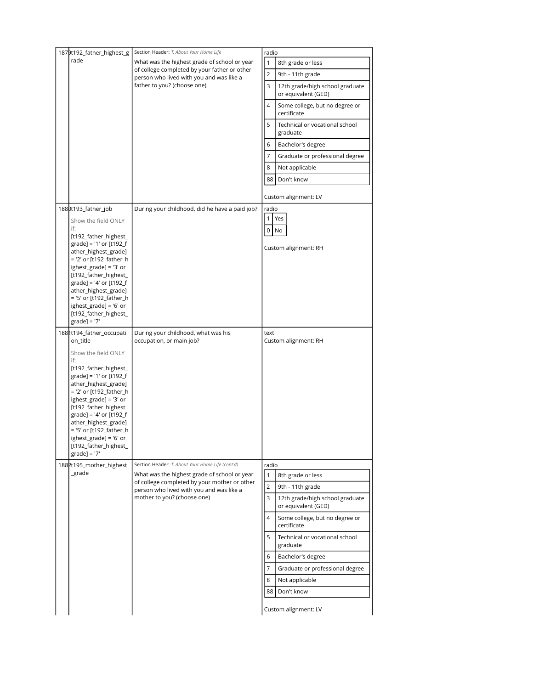| 1879t192_father_highest_g                          | Section Header: T. About Your Home Life                                 | radio                                                       |
|----------------------------------------------------|-------------------------------------------------------------------------|-------------------------------------------------------------|
| rade                                               | What was the highest grade of school or year                            | $\mathbf{1}$<br>8th grade or less                           |
|                                                    | of college completed by your father or other                            | 2                                                           |
|                                                    | person who lived with you and was like a                                | 9th - 11th grade                                            |
|                                                    | father to you? (choose one)                                             | 3<br>12th grade/high school graduate<br>or equivalent (GED) |
|                                                    |                                                                         | 4<br>Some college, but no degree or<br>certificate          |
|                                                    |                                                                         | 5<br>Technical or vocational school<br>graduate             |
|                                                    |                                                                         | 6<br>Bachelor's degree                                      |
|                                                    |                                                                         | 7<br>Graduate or professional degree                        |
|                                                    |                                                                         | 8<br>Not applicable                                         |
|                                                    |                                                                         | 88<br>Don't know                                            |
|                                                    |                                                                         |                                                             |
|                                                    |                                                                         | Custom alignment: LV                                        |
| 1880t193_father_job                                | During your childhood, did he have a paid job?                          | radio<br>$\mathbf{1}$<br>Yes                                |
| Show the field ONLY<br>if:                         |                                                                         | 0<br>No                                                     |
| [t192_father_highest_                              |                                                                         |                                                             |
| $grade$ ] = '1' or [t192_f<br>ather_highest_grade] |                                                                         | Custom alignment: RH                                        |
| = '2' or [t192_father_h                            |                                                                         |                                                             |
| ighest_grade] = '3' or<br>[t192_father_highest_    |                                                                         |                                                             |
| grade] = '4' or $[t192_f$                          |                                                                         |                                                             |
| ather_highest_grade]<br>= '5' or [t192_father_h    |                                                                         |                                                             |
| ighest_grade] = '6' or                             |                                                                         |                                                             |
| [t192_father_highest_                              |                                                                         |                                                             |
| $grade$ ] = '7'                                    |                                                                         |                                                             |
|                                                    |                                                                         |                                                             |
| 1881t194_father_occupati<br>on_title               | During your childhood, what was his<br>occupation, or main job?         | text<br>Custom alignment: RH                                |
| Show the field ONLY                                |                                                                         |                                                             |
| if:<br>[t192_father_highest_                       |                                                                         |                                                             |
| $grade$ ] = '1' or [t192_f                         |                                                                         |                                                             |
| ather_highest_grade]                               |                                                                         |                                                             |
| = '2' or [t192_father_h<br>ighest_grade] = '3' or  |                                                                         |                                                             |
| [t192_father_highest_                              |                                                                         |                                                             |
| grade] = '4' or [t192_f<br>ather_highest_grade]    |                                                                         |                                                             |
| = '5' or [t192_father_h                            |                                                                         |                                                             |
| ighest_grade] = '6' or                             |                                                                         |                                                             |
| [t192_father_highest_<br>$grade$ ] = '7'           |                                                                         |                                                             |
| 1882t195_mother_highest                            | Section Header: T. About Your Home Life (cont'd)                        | radio                                                       |
| _grade                                             | What was the highest grade of school or year                            | $\mathbf{1}$<br>8th grade or less                           |
|                                                    | of college completed by your mother or other                            | 2<br>9th - 11th grade                                       |
|                                                    | person who lived with you and was like a<br>mother to you? (choose one) | 3<br>12th grade/high school graduate                        |
|                                                    |                                                                         | or equivalent (GED)                                         |
|                                                    |                                                                         | 4<br>Some college, but no degree or<br>certificate          |
|                                                    |                                                                         | 5<br>Technical or vocational school<br>graduate             |
|                                                    |                                                                         | 6<br>Bachelor's degree                                      |
|                                                    |                                                                         | $\overline{7}$<br>Graduate or professional degree           |
|                                                    |                                                                         | 8<br>Not applicable                                         |
|                                                    |                                                                         | 88<br>Don't know                                            |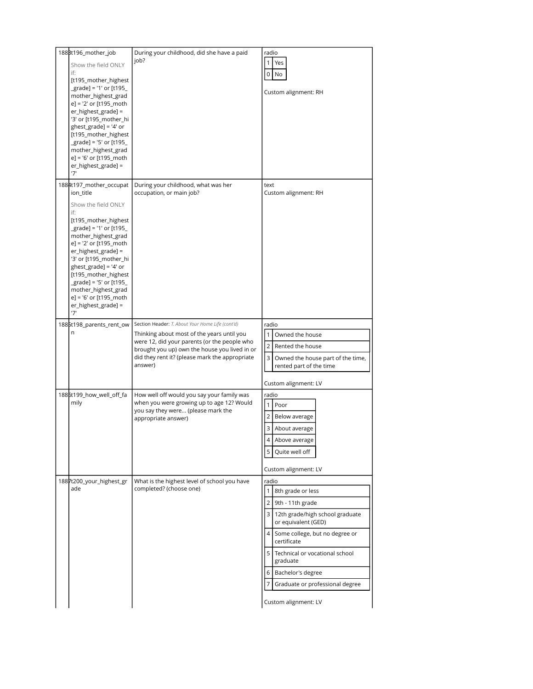| 188Bt196_mother_job<br>Show the field ONLY<br>if:<br>[t195_mother_highest<br>$grade] = '1'$ or [t195 $\_$<br>mother_highest_grad<br>e] = '2' or [t195_moth<br>er_highest_grade] =<br>'3' or [t195_mother_hi<br>$ghest_gradel = '4'$ or<br>[t195_mother_highest<br>$grade$ ] = '5' or [t195 $\_$<br>mother_highest_grad<br>e] = '6' or [t195_moth<br>er_highest_grade] =<br>'7'           | During your childhood, did she have a paid<br>job?                                                                                                                                                                                                           | radio<br>$\mathbf{1}$<br>Yes<br>0<br>No<br>Custom alignment: RH                                                                                                                                                                                                                                      |
|------------------------------------------------------------------------------------------------------------------------------------------------------------------------------------------------------------------------------------------------------------------------------------------------------------------------------------------------------------------------------------------|--------------------------------------------------------------------------------------------------------------------------------------------------------------------------------------------------------------------------------------------------------------|------------------------------------------------------------------------------------------------------------------------------------------------------------------------------------------------------------------------------------------------------------------------------------------------------|
| 1884t197_mother_occupat<br>ion_title<br>Show the field ONLY<br>if:<br>[t195_mother_highest<br>grade] = '1' or [t195<br>mother_highest_grad<br>e] = '2' or [t195_moth<br>er_highest_grade] =<br>'3' or [t195_mother_hi<br>$ghest_grade] = '4'$ or<br>[t195_mother_highest<br>$grade$ ] = '5' or [t195 $\_$<br>mother_highest_grad<br>e] = '6' or [t195_moth<br>er_highest_grade] =<br>'7' | During your childhood, what was her<br>occupation, or main job?                                                                                                                                                                                              | text<br>Custom alignment: RH                                                                                                                                                                                                                                                                         |
| 1885t198_parents_rent_ow<br>n                                                                                                                                                                                                                                                                                                                                                            | Section Header: T. About Your Home Life (cont'd)<br>Thinking about most of the years until you<br>were 12, did your parents (or the people who<br>brought you up) own the house you lived in or<br>did they rent it? (please mark the appropriate<br>answer) | radio<br>$\mathbf{1}$<br>Owned the house<br>2 <sup>1</sup><br>Rented the house<br>$\overline{3}$<br>Owned the house part of the time,<br>rented part of the time<br>Custom alignment: LV                                                                                                             |
| 1886t199_how_well_off_fa<br>mily                                                                                                                                                                                                                                                                                                                                                         | How well off would you say your family was<br>when you were growing up to age 12? Would<br>you say they were (please mark the<br>appropriate answer)                                                                                                         | radio<br>Poor<br>$\mathbf{1}$<br>$\overline{2}$<br>Below average<br>3<br>About average<br>4 Above average<br>Quite well off<br>5<br>Custom alignment: LV                                                                                                                                             |
| 1887t200_your_highest_gr<br>ade                                                                                                                                                                                                                                                                                                                                                          | What is the highest level of school you have<br>completed? (choose one)                                                                                                                                                                                      | radio<br>8th grade or less<br>9th - 11th grade<br>3 12th grade/high school graduate<br>or equivalent (GED)<br>4 Some college, but no degree or<br>certificate<br>5 Technical or vocational school<br>graduate<br>6 Bachelor's degree<br>7<br>Graduate or professional degree<br>Custom alignment: LV |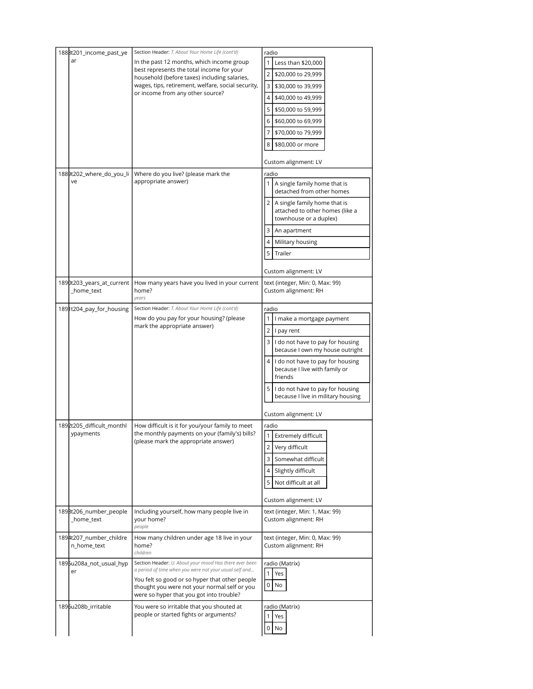| 188Bt201_income_past_ye                 | Section Header: T. About Your Home Life (cont'd)                                                                                                                                                                                                               | radio                                                                                                                                                                                                                                                                                                                                                |
|-----------------------------------------|----------------------------------------------------------------------------------------------------------------------------------------------------------------------------------------------------------------------------------------------------------------|------------------------------------------------------------------------------------------------------------------------------------------------------------------------------------------------------------------------------------------------------------------------------------------------------------------------------------------------------|
| ar                                      | In the past 12 months, which income group<br>best represents the total income for your<br>household (before taxes) including salaries,<br>wages, tips, retirement, welfare, social security,<br>or income from any other source?                               | Less than \$20,000<br>2<br>\$20,000 to 29,999<br>3<br>\$30,000 to 39,999<br>4<br>\$40,000 to 49,999<br>5<br>\$50,000 to 59,999<br>6<br>\$60,000 to 69,999<br>7<br>\$70,000 to 79,999<br>8<br>\$80,000 or more<br>Custom alignment: LV                                                                                                                |
| 1889t202_where_do_you_li<br>ve          | Where do you live? (please mark the<br>appropriate answer)                                                                                                                                                                                                     | radio<br>A single family home that is<br>detached from other homes<br>2 A single family home that is<br>attached to other homes (like a<br>townhouse or a duplex)<br>3<br>An apartment<br>4<br>Military housing<br>5<br>Trailer<br>Custom alignment: LV                                                                                              |
| 1890t203_years_at_current<br>_home_text | How many years have you lived in your current<br>home?<br>years                                                                                                                                                                                                | text (integer, Min: 0, Max: 99)<br>Custom alignment: RH                                                                                                                                                                                                                                                                                              |
| 1891t204_pay_for_housing                | Section Header: T. About Your Home Life (cont'd)<br>How do you pay for your housing? (please<br>mark the appropriate answer)                                                                                                                                   | radio<br>I make a mortgage payment<br>$\overline{2}$<br>I pay rent<br>3<br>I do not have to pay for housing<br>because I own my house outright<br>4 I do not have to pay for housing<br>because I live with family or<br>friends<br>5 <sup>1</sup><br>I do not have to pay for housing<br>because I live in military housing<br>Custom alignment: LV |
| 1892t205_difficult_monthl<br>ypayments  | How difficult is it for you/your family to meet<br>the monthly payments on your (family's) bills?<br>(please mark the appropriate answer)                                                                                                                      | radio<br><b>Extremely difficult</b><br>$\overline{2}$<br>Very difficult<br>3<br>Somewhat difficult<br>4<br>Slightly difficult<br>5<br>Not difficult at all<br>Custom alignment: LV                                                                                                                                                                   |
| 189Bt206 number people<br>_home_text    | Including yourself, how many people live in<br>your home?<br>people                                                                                                                                                                                            | text (integer, Min: 1, Max: 99)<br>Custom alignment: RH                                                                                                                                                                                                                                                                                              |
| 1894t207_number_childre<br>n home text  | How many children under age 18 live in your<br>home?<br>children                                                                                                                                                                                               | text (integer, Min: 0, Max: 99)<br>Custom alignment: RH                                                                                                                                                                                                                                                                                              |
| 1895u208a_not_usual_hyp<br>er           | Section Header: U. About your mood Has there ever been<br>a period of time when you were not your usual self and<br>You felt so good or so hyper that other people<br>thought you were not your normal self or you<br>were so hyper that you got into trouble? | radio (Matrix)<br>1<br>Yes<br>0<br>No                                                                                                                                                                                                                                                                                                                |
| 1896u208b_irritable                     | You were so irritable that you shouted at<br>people or started fights or arguments?                                                                                                                                                                            | radio (Matrix)<br>1<br>Yes<br>0<br>No                                                                                                                                                                                                                                                                                                                |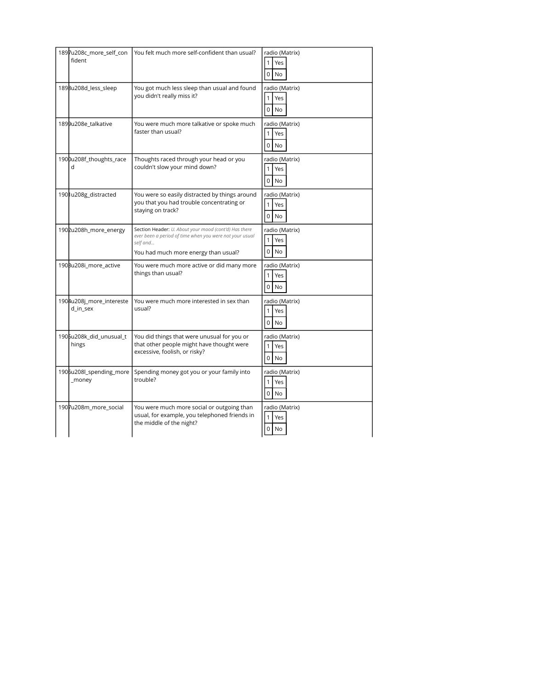| 1897u208c_more_self_con           | You felt much more self-confident than usual?                                               | radio (Matrix)                        |
|-----------------------------------|---------------------------------------------------------------------------------------------|---------------------------------------|
| fident                            |                                                                                             | $\mathbf{1}$<br>Yes                   |
|                                   |                                                                                             | 0<br><b>No</b>                        |
| 1898u208d_less_sleep              | You got much less sleep than usual and found                                                | radio (Matrix)                        |
|                                   | you didn't really miss it?                                                                  | $\mathbf{1}$<br>Yes                   |
|                                   |                                                                                             | $\Omega$<br><b>No</b>                 |
| 1899u208e_talkative               | You were much more talkative or spoke much<br>faster than usual?                            | radio (Matrix)                        |
|                                   |                                                                                             | $\mathbf{1}$<br>Yes                   |
|                                   |                                                                                             | 0<br><b>No</b>                        |
| 1900u208f_thoughts_race<br>d      | Thoughts raced through your head or you<br>couldn't slow your mind down?                    | radio (Matrix)                        |
|                                   |                                                                                             | Yes<br>1<br>0<br>No                   |
|                                   |                                                                                             |                                       |
| 1901u208g_distracted              | You were so easily distracted by things around<br>you that you had trouble concentrating or | radio (Matrix)<br>$\mathbf{1}$<br>Yes |
|                                   | staying on track?                                                                           | 0<br><b>No</b>                        |
| 1902u208h_more_energy             | Section Header: U. About your mood (cont'd) Has there                                       | radio (Matrix)                        |
|                                   | ever been a period of time when you were not your usual<br>self and                         | 1<br>Yes                              |
|                                   | You had much more energy than usual?                                                        | $\Omega$<br><b>No</b>                 |
| 190Bu208i_more_active             | You were much more active or did many more                                                  | radio (Matrix)                        |
|                                   | things than usual?                                                                          | 1<br>Yes                              |
|                                   |                                                                                             | $\mathbf 0$<br>No                     |
| 1904u208j_more_intereste          | You were much more interested in sex than                                                   | radio (Matrix)                        |
| d_in_sex                          | usual?                                                                                      | 1<br>Yes                              |
|                                   |                                                                                             | $\Omega$<br><b>No</b>                 |
| 1905u208k_did_unusual_t           | You did things that were unusual for you or                                                 | radio (Matrix)                        |
| hings                             | that other people might have thought were<br>excessive, foolish, or risky?                  | 1<br>Yes                              |
|                                   |                                                                                             | 0<br>No                               |
| 1906u208l_spending_more<br>_money | Spending money got you or your family into<br>trouble?                                      | radio (Matrix)                        |
|                                   |                                                                                             | $\mathbf{1}$<br>Yes                   |
|                                   |                                                                                             | $\mathbf 0$<br>No                     |
| 1907u208m_more_social             | You were much more social or outgoing than<br>usual, for example, you telephoned friends in | radio (Matrix)<br>1<br>Yes            |
|                                   | the middle of the night?                                                                    | 0<br>No                               |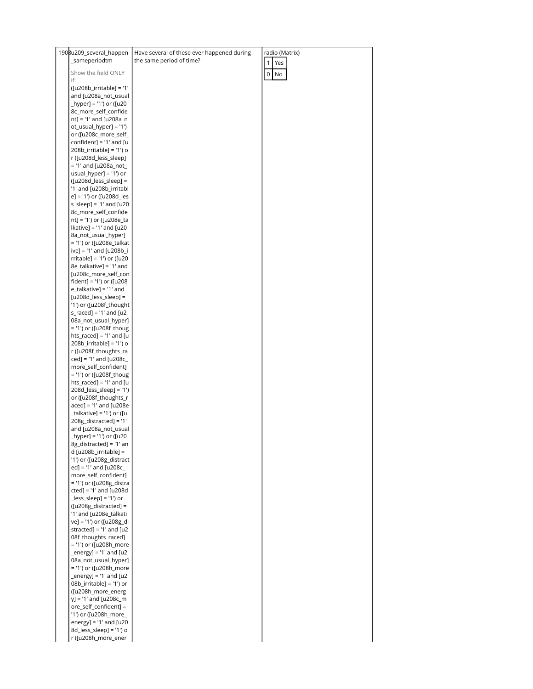| 1908u209_several_happen                           | Have several of these ever happened during | radio (Matrix)       |
|---------------------------------------------------|--------------------------------------------|----------------------|
| _sameperiodtm                                     | the same period of time?                   | 1<br>Yes             |
| Show the field ONLY                               |                                            |                      |
| if:                                               |                                            | $\overline{0}$<br>No |
| ([u208b_irritable] = '1'                          |                                            |                      |
| and [u208a_not_usual                              |                                            |                      |
| _hyper] = '1') or ([u20                           |                                            |                      |
| 8c_more_self_confide                              |                                            |                      |
| nt] = '1' and [u208a_n                            |                                            |                      |
| ot_usual_hyper] = '1')                            |                                            |                      |
| or ([u208c_more_self_                             |                                            |                      |
| confident] = $'1'$ and [u                         |                                            |                      |
| 208b_irritable] = '1') o                          |                                            |                      |
| r ([u208d_less_sleep]                             |                                            |                      |
| = '1' and [u208a_not_                             |                                            |                      |
| usual_hyper] = '1') or                            |                                            |                      |
| $[u208d$ less sleep] =                            |                                            |                      |
| '1' and [u208b_irritabl                           |                                            |                      |
| e] = '1') or ([u208d_les                          |                                            |                      |
| $s$ _sleep] = '1' and [u20                        |                                            |                      |
| 8c_more_self_confide                              |                                            |                      |
| nt] = '1') or ([u208e_ta                          |                                            |                      |
| $[kative] = '1'$ and $[u20]$                      |                                            |                      |
| 8a_not_usual_hyper]                               |                                            |                      |
| = '1') or ([u208e_talkat                          |                                            |                      |
| ive] = '1' and [u208b_i                           |                                            |                      |
| rritable] = '1') or ([u20                         |                                            |                      |
| 8e_talkative] = '1' and                           |                                            |                      |
| [u208c_more_self_con                              |                                            |                      |
| fident] = '1') or ([u208                          |                                            |                      |
| $e$ _talkative] = '1' and                         |                                            |                      |
| $[u208d_less_sleep] =$<br>'1') or ([u208f_thought |                                            |                      |
| $s$ <sub>raced</sub> $= '1'$ and $[u2]$           |                                            |                      |
| 08a_not_usual_hyper]                              |                                            |                      |
|                                                   |                                            |                      |
| $hts_raced] = '1' and [u$                         |                                            |                      |
| 208b_irritable] = '1') o                          |                                            |                      |
| r ([u208f_thoughts_ra                             |                                            |                      |
| ced] = '1' and [u208c_                            |                                            |                      |
| more_self_confident]                              |                                            |                      |
| = '1') or ([u208f_thoug                           |                                            |                      |
| hts_raced] = '1' and [u                           |                                            |                      |
| 208d_less_sleep] = '1')                           |                                            |                      |
| or ([u208f_thoughts_r                             |                                            |                      |
| aced] = '1' and [u208e                            |                                            |                      |
|                                                   |                                            |                      |
| $208g$ _distracted] = '1'                         |                                            |                      |
| and [u208a_not_usual                              |                                            |                      |
| [hyper] = '1') or ([u20                           |                                            |                      |
| 8g_distracted] = '1' an                           |                                            |                      |
| d [u208b_irritable] =                             |                                            |                      |
| '1') or ([u208g_distract                          |                                            |                      |
| $ed$ ] = '1' and [u208c_                          |                                            |                      |
| more_self_confident]                              |                                            |                      |
| = '1') or ([u208g_distra                          |                                            |                      |
| $cted$ ] = '1' and [u208d                         |                                            |                      |
| $[u208g_distracted] =$                            |                                            |                      |
| '1' and [u208e_talkati                            |                                            |                      |
| ve] = '1') or ([u208g_di                          |                                            |                      |
| stracted] = $'1'$ and [u2                         |                                            |                      |
| 08f_thoughts_raced]                               |                                            |                      |
| = '1') or ([u208h_more                            |                                            |                      |
| $_{\text{energy}}$ = '1' and [u2                  |                                            |                      |
| 08a_not_usual_hyper]                              |                                            |                      |
| = '1') or ([u208h_more                            |                                            |                      |
| $_{\text{energy}}$ = '1' and [u2                  |                                            |                      |
| 08b_irritable] = '1') or                          |                                            |                      |
| ([u208h_more_energ                                |                                            |                      |
| y] = '1' and [u208c_m                             |                                            |                      |
| ore_self_confident] =                             |                                            |                      |
| '1') or ([u208h_more_                             |                                            |                      |
| energy] = $'1'$ and [u20                          |                                            |                      |
| 8d_less_sleep] = '1') o                           |                                            |                      |
| r ([u208h_more_ener                               |                                            |                      |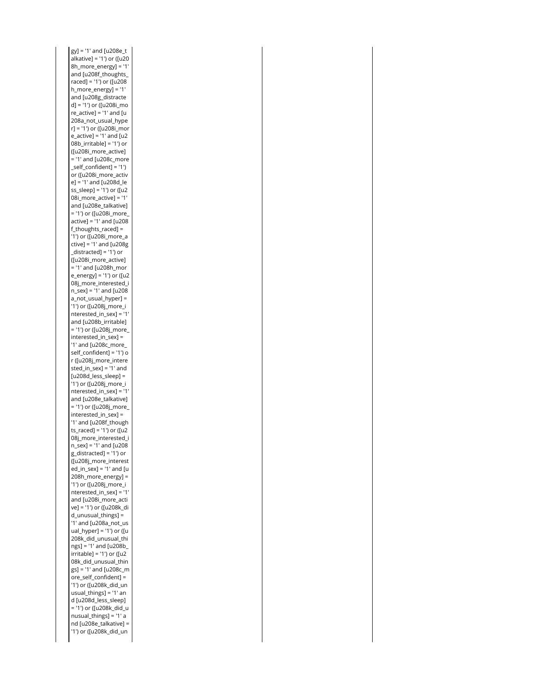gy] = '1' and [u208e\_t alkative] = '1') or ([u20 8h\_more\_energy] = '1' raced] = '1') or ([u208 h\_more\_energy] = '1' d] = '1') or ([u208i\_mo re\_active] = '1' and [u 08b\_irritable] = '1') or = '1' and [u208c\_more \_self\_confident] = '1') e] = '1' and [u208d\_le ss\_sleep] = '1') or ([u2 08i\_more\_active] = '1' = '1') or ([u208i\_more\_ active] = '1' and [u208 f\_thoughts\_raced] = '1') or ([u208i\_more\_a ctive] = '1' and [u208g \_distracted] = '1') or = '1' and [u208h\_mor e\_energy] = '1') or ([u2 n\_sex] = '1' and [u208 a\_not\_usual\_hyper] = '1') or ([u208j\_more\_i nterested\_in\_sex] = '1' = '1') or ([u208j\_more\_ interested\_in\_sex] = '1' and [u208c\_more\_ self\_confident] = '1') o sted\_in\_sex] = '1' and [u208d\_less\_sleep] = '1') or ([u208j\_more\_i nterested\_in\_sex] = '1' = '1') or ([u208j\_more\_ interested\_in\_sex] = '1' and [u208f\_though ts\_raced] = '1') or ([u2 n\_sex] = '1' and [u208 g\_distracted] = '1') or ed\_in\_sex] = '1' and [u 208h\_more\_energy] = '1') or ([u208j\_more\_i nterested\_in\_sex] = '1' ve] = '1') or ([u208k\_di d\_unusual\_things] = '1' and [u208a\_not\_us ual\_hyper] = '1') or ([u ngs] = '1' and [u208b\_ irritable] = '1') or ([u2 gs] = '1' and [u208c\_m ore\_self\_confident] = '1') or ([u208k\_did\_un usual\_things] = '1' an = '1') or ([u208k\_did\_u nusual\_things] = '1' a nd [u208e\_talkative] = '1') or ([u208k\_did\_unand [u208f\_thoughts\_ and [u208g\_distracte 208a\_not\_usual\_hype r] = '1') or ([u208i\_mor e\_active] = '1' and [u2 ([u208i\_more\_active] or ([u208i\_more\_activ and [u208e\_talkative] ([u208i\_more\_active] 08j\_more\_interested\_i and [u208b\_irritable] r ([u208j\_more\_intere and [u208e\_talkative] 08j\_more\_interested\_i ([u208j\_more\_interest and [u208i\_more\_acti 208k\_did\_unusual\_thi 08k\_did\_unusual\_thin d [u208d\_less\_sleep]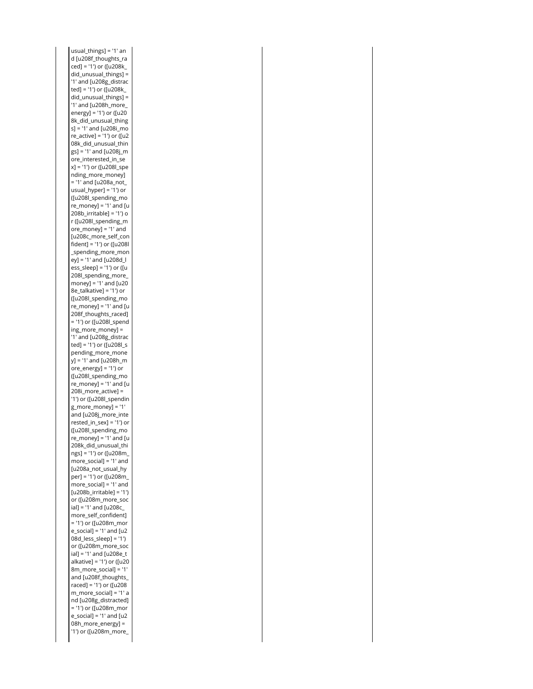usual\_things] = '1' an ced] = '1') or ([u208k\_ did\_unusual\_things] = '1' and [u208g\_distrac ted] = '1') or ([u208k\_ did\_unusual\_things] = '1' and [u208h\_more\_ energy] = '1') or ([u20 s] = '1' and [u208i\_mo re\_active] = '1') or ([u2 gs] = '1' and [u208j\_m x] = '1') or ([u208l\_spe = '1' and [u208a\_not\_ usual\_hyper] = '1') or re\_money] = '1' and [u 208b\_irritable] = '1') o ore\_money] = '1' and fident] = '1') or ([u208l ey] = '1' and [u208d\_l ess\_sleep] = '1') or ([u money] = '1' and [u20 8e\_talkative] = '1') or re\_money] = '1' and [u = '1') or ([u208l\_spend ing\_more\_money] = '1' and [u208g\_distrac ted] = '1') or ([u208l\_s y] = '1' and [u208h\_m ore\_energy] = '1') or re\_money] = '1' and [u 208i\_more\_active] = '1') or ([u208l\_spendin g\_more\_money] = '1' rested\_in\_sex] = '1') or re\_money] = '1' and [u ngs] = '1') or ([u208m\_ more\_social] = '1' and per] = '1') or ([u208m\_ more\_social] = '1' and [u208b\_irritable] = '1') ial] = '1' and [u208c\_ = '1') or ([u208m\_mor e\_social] = '1' and [u2 08d\_less\_sleep] = '1') ial] = '1' and [u208e\_t alkative] = '1') or ([u20 8m\_more\_social] = '1' raced] = '1') or ([u208 m\_more\_social] = '1' a = '1') or ([u208m\_mor e\_social] = '1' and [u2 08h\_more\_energy] = '1') or ([u208m\_more\_d [u208f\_thoughts\_ra 8k\_did\_unusual\_thing 08k\_did\_unusual\_thin ore\_interested\_in\_se nding\_more\_money] ([u208l\_spending\_mo r ([u208l\_spending\_m [u208c\_more\_self\_con \_spending\_more\_mon 208l\_spending\_more\_ ([u208l\_spending\_mo 208f\_thoughts\_raced] pending\_more\_mone ([u208l\_spending\_mo and [u208j\_more\_inte ([u208l\_spending\_mo 208k\_did\_unusual\_thi [u208a\_not\_usual\_hy or ([u208m\_more\_soc more\_self\_confident] or ([u208m\_more\_soc and [u208f\_thoughts\_ nd [u208g\_distracted]